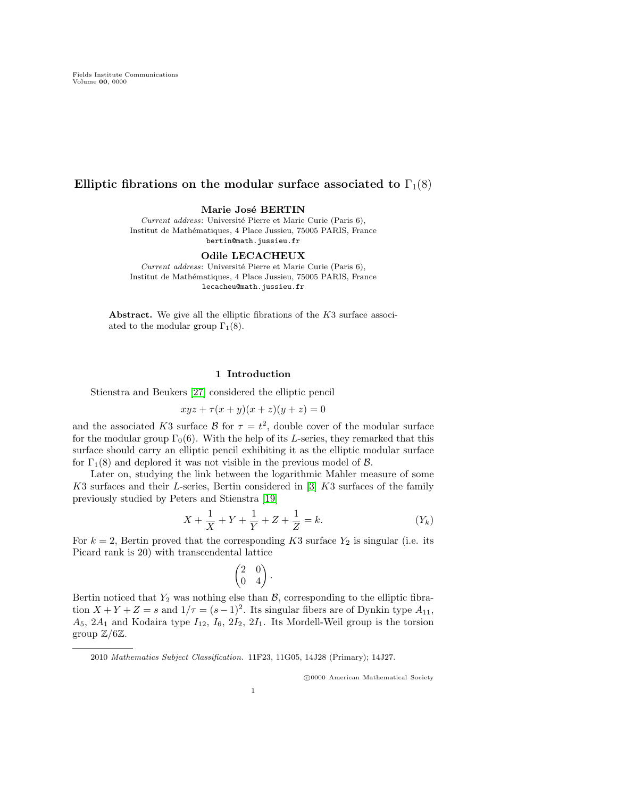# Elliptic fibrations on the modular surface associated to  $\Gamma_1(8)$

Marie José BERTIN

Current address: Université Pierre et Marie Curie (Paris 6), Institut de Mathématiques, 4 Place Jussieu, 75005 PARIS, France bertin@math.jussieu.fr

Odile LECACHEUX

Current address: Université Pierre et Marie Curie (Paris 6), Institut de Mathématiques, 4 Place Jussieu, 75005 PARIS, France lecacheu@math.jussieu.fr

Abstract. We give all the elliptic fibrations of the  $K3$  surface associated to the modular group  $\Gamma_1(8)$ .

### 1 Introduction

Stienstra and Beukers [\[27\]](#page-37-0) considered the elliptic pencil

 $xyz + \tau (x + y)(x + z)(y + z) = 0$ 

and the associated K3 surface  $\mathcal{B}$  for  $\tau = t^2$ , double cover of the modular surface for the modular group  $\Gamma_0(6)$ . With the help of its L-series, they remarked that this surface should carry an elliptic pencil exhibiting it as the elliptic modular surface for  $\Gamma_1(8)$  and deplored it was not visible in the previous model of  $\beta$ .

Later on, studying the link between the logarithmic Mahler measure of some K3 surfaces and their L-series, Bertin considered in [\[3\]](#page-36-0) K3 surfaces of the family previously studied by Peters and Stienstra [\[19\]](#page-37-1)

$$
X + \frac{1}{X} + Y + \frac{1}{Y} + Z + \frac{1}{Z} = k.
$$
 (Y<sub>k</sub>)

For  $k = 2$ , Bertin proved that the corresponding K3 surface  $Y_2$  is singular (i.e. its Picard rank is 20) with transcendental lattice

$$
\begin{pmatrix} 2 & 0 \\ 0 & 4 \end{pmatrix}.
$$

Bertin noticed that  $Y_2$  was nothing else than  $\mathcal{B}$ , corresponding to the elliptic fibration  $X + Y + Z = s$  and  $1/\tau = (s-1)^2$ . Its singular fibers are of Dynkin type  $A_{11}$ ,  $A_5$ ,  $2A_1$  and Kodaira type  $I_{12}$ ,  $I_6$ ,  $2I_2$ ,  $2I_1$ . Its Mordell-Weil group is the torsion group  $\mathbb{Z}/6\mathbb{Z}$ .

c 0000 American Mathematical Society

<sup>2010</sup> Mathematics Subject Classification. 11F23, 11G05, 14J28 (Primary); 14J27.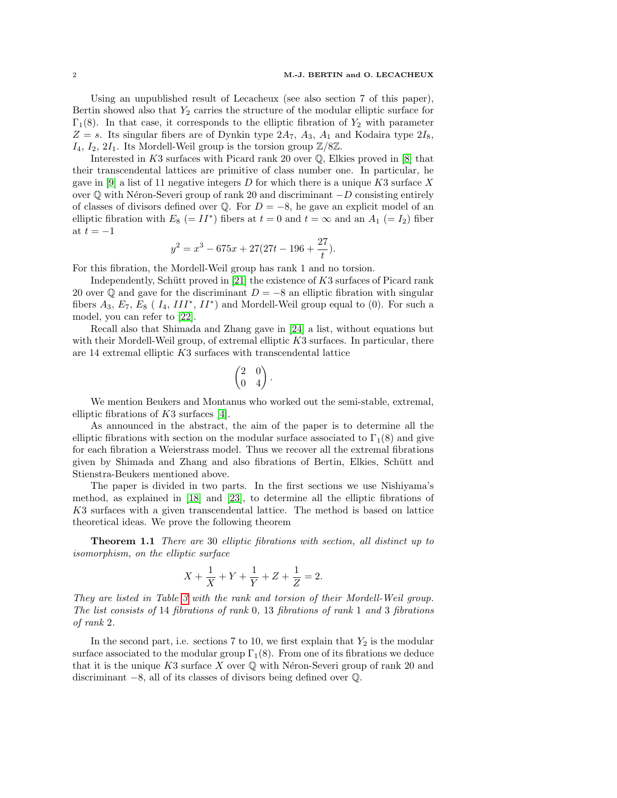Using an unpublished result of Lecacheux (see also section 7 of this paper), Bertin showed also that  $Y_2$  carries the structure of the modular elliptic surface for  $\Gamma_1(8)$ . In that case, it corresponds to the elliptic fibration of  $Y_2$  with parameter  $Z = s$ . Its singular fibers are of Dynkin type  $2A_7$ ,  $A_3$ ,  $A_1$  and Kodaira type  $2I_8$ ,  $I_4$ ,  $I_2$ ,  $2I_1$ . Its Mordell-Weil group is the torsion group  $\mathbb{Z}/8\mathbb{Z}$ .

Interested in K3 surfaces with Picard rank 20 over  $\mathbb{Q}$ , Elkies proved in [\[8\]](#page-37-2) that their transcendental lattices are primitive of class number one. In particular, he gave in [\[9\]](#page-37-3) a list of 11 negative integers D for which there is a unique K3 surface X over  $\mathbb Q$  with Néron-Severi group of rank 20 and discriminant  $-D$  consisting entirely of classes of divisors defined over  $\mathbb{Q}$ . For  $D = -8$ , he gave an explicit model of an elliptic fibration with  $E_8$  (=  $II^*$ ) fibers at  $t = 0$  and  $t = \infty$  and an  $A_1$  (=  $I_2$ ) fiber at  $t = -1$ 

$$
y^2 = x^3 - 675x + 27(27t - 196 + \frac{27}{t}).
$$

For this fibration, the Mordell-Weil group has rank 1 and no torsion.

Independently, Schütt proved in  $[21]$  the existence of K3 surfaces of Picard rank 20 over  $\mathbb Q$  and gave for the discriminant  $D = -8$  an elliptic fibration with singular fibers  $A_3$ ,  $E_7$ ,  $E_8$  ( $I_4$ ,  $III^*$ ,  $II^*$ ) and Mordell-Weil group equal to (0). For such a model, you can refer to [\[22\]](#page-37-5).

Recall also that Shimada and Zhang gave in [\[24\]](#page-37-6) a list, without equations but with their Mordell-Weil group, of extremal elliptic K3 surfaces. In particular, there are 14 extremal elliptic K3 surfaces with transcendental lattice

$$
\begin{pmatrix} 2 & 0 \\ 0 & 4 \end{pmatrix}.
$$

We mention Beukers and Montanus who worked out the semi-stable, extremal, elliptic fibrations of K3 surfaces [\[4\]](#page-36-1).

As announced in the abstract, the aim of the paper is to determine all the elliptic fibrations with section on the modular surface associated to  $\Gamma_1(8)$  and give for each fibration a Weierstrass model. Thus we recover all the extremal fibrations given by Shimada and Zhang and also fibrations of Bertin, Elkies, Schütt and Stienstra-Beukers mentioned above.

The paper is divided in two parts. In the first sections we use Nishiyama's method, as explained in [\[18\]](#page-37-7) and [\[23\]](#page-37-8), to determine all the elliptic fibrations of K3 surfaces with a given transcendental lattice. The method is based on lattice theoretical ideas. We prove the following theorem

Theorem 1.1 There are 30 elliptic fibrations with section, all distinct up to isomorphism, on the elliptic surface

$$
X + \frac{1}{X} + Y + \frac{1}{Y} + Z + \frac{1}{Z} = 2.
$$

They are listed in Table [3](#page-14-0) with the rank and torsion of their Mordell-Weil group. The list consists of 14 fibrations of rank 0, 13 fibrations of rank 1 and 3 fibrations of rank 2.

In the second part, i.e. sections 7 to 10, we first explain that  $Y_2$  is the modular surface associated to the modular group  $\Gamma_1(8)$ . From one of its fibrations we deduce that it is the unique  $K3$  surface X over  $\mathbb Q$  with Néron-Severi group of rank 20 and discriminant −8, all of its classes of divisors being defined over Q.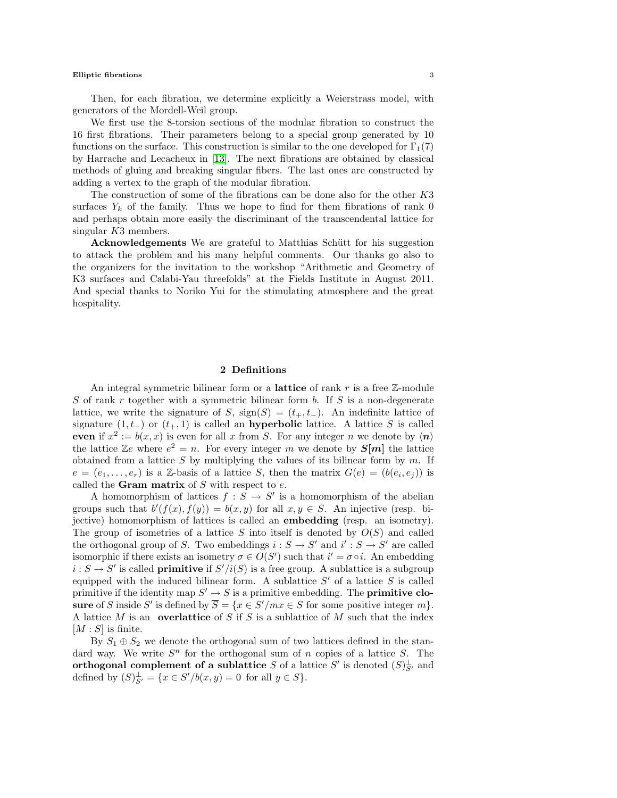Then, for each fibration, we determine explicitly a Weierstrass model, with generators of the Mordell-Weil group.

We first use the 8-torsion sections of the modular fibration to construct the 16 first fibrations. Their parameters belong to a special group generated by 10 functions on the surface. This construction is similar to the one developed for  $\Gamma_1(7)$ by Harrache and Lecacheux in [\[13\]](#page-37-9). The next fibrations are obtained by classical methods of gluing and breaking singular fibers. The last ones are constructed by adding a vertex to the graph of the modular fibration.

The construction of some of the fibrations can be done also for the other K3 surfaces  $Y_k$  of the family. Thus we hope to find for them fibrations of rank 0 and perhaps obtain more easily the discriminant of the transcendental lattice for singular K3 members.

Acknowledgements We are grateful to Matthias Schütt for his suggestion to attack the problem and his many helpful comments. Our thanks go also to the organizers for the invitation to the workshop "Arithmetic and Geometry of K3 surfaces and Calabi-Yau threefolds" at the Fields Institute in August 2011. And special thanks to Noriko Yui for the stimulating atmosphere and the great hospitality.

## 2 Definitions

An integral symmetric bilinear form or a lattice of rank  $r$  is a free  $\mathbb{Z}$ -module S of rank r together with a symmetric bilinear form b. If S is a non-degenerate lattice, we write the signature of S,  $sign(S) = (t_+, t_-)$ . An indefinite lattice of signature  $(1, t_+)$  or  $(t_+, 1)$  is called an **hyperbolic** lattice. A lattice S is called even if  $x^2 := b(x, x)$  is even for all x from S. For any integer n we denote by  $\langle n \rangle$ the lattice  $\mathbb{Z}e$  where  $e^2 = n$ . For every integer m we denote by  $S[m]$  the lattice obtained from a lattice  $S$  by multiplying the values of its bilinear form by  $m$ . If  $e = (e_1, \ldots, e_r)$  is a Z-basis of a lattice S, then the matrix  $G(e) = (b(e_i, e_j))$  is called the **Gram matrix** of  $S$  with respect to  $e$ .

A homomorphism of lattices  $f : S \to S'$  is a homomorphism of the abelian groups such that  $b'(f(x), f(y)) = b(x, y)$  for all  $x, y \in S$ . An injective (resp. bijective) homomorphism of lattices is called an embedding (resp. an isometry). The group of isometries of a lattice  $S$  into itself is denoted by  $O(S)$  and called the orthogonal group of S. Two embeddings  $i : S \to S'$  and  $i' : S \to S'$  are called isomorphic if there exists an isometry  $\sigma \in O(S')$  such that  $i' = \sigma \circ i$ . An embedding  $i: S \to S'$  is called **primitive** if  $S'/i(S)$  is a free group. A sublattice is a subgroup equipped with the induced bilinear form. A sublattice  $S'$  of a lattice  $S$  is called primitive if the identity map  $S' \to S$  is a primitive embedding. The **primitive clo**sure of S inside S' is defined by  $\overline{S} = \{x \in S'/mx \in S \text{ for some positive integer } m\}.$ A lattice M is an **overlattice** of S if S is a sublattice of M such that the index  $[M : S]$  is finite.

By  $S_1 \oplus S_2$  we denote the orthogonal sum of two lattices defined in the standard way. We write  $S<sup>n</sup>$  for the orthogonal sum of n copies of a lattice S. The orthogonal complement of a sublattice S of a lattice S' is denoted  $(S)_{S'}^{\perp}$  and defined by  $(S)_{S'}^{\perp} = \{x \in S'/b(x, y) = 0 \text{ for all } y \in S\}.$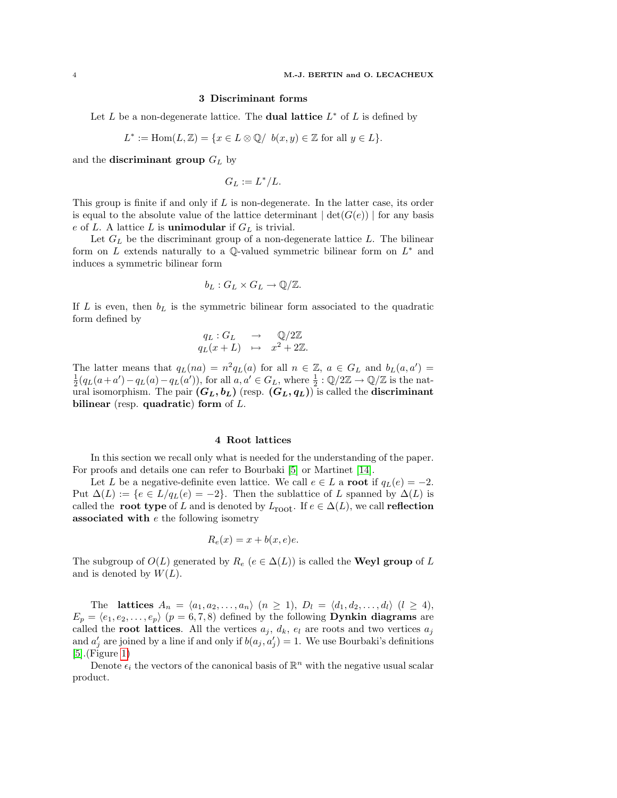# 3 Discriminant forms

Let L be a non-degenerate lattice. The **dual lattice**  $L^*$  of L is defined by

$$
L^* := \text{Hom}(L, \mathbb{Z}) = \{ x \in L \otimes \mathbb{Q} / b(x, y) \in \mathbb{Z} \text{ for all } y \in L \}.
$$

and the **discriminant group**  $G_L$  by

$$
G_L := L^* / L.
$$

This group is finite if and only if  $L$  is non-degenerate. In the latter case, its order is equal to the absolute value of the lattice determinant  $| \det(G(e)) |$  for any basis e of L. A lattice L is **unimodular** if  $G_L$  is trivial.

Let  $G_L$  be the discriminant group of a non-degenerate lattice  $L$ . The bilinear form on L extends naturally to a  $\mathbb{Q}$ -valued symmetric bilinear form on  $L^*$  and induces a symmetric bilinear form

$$
b_L: G_L \times G_L \to \mathbb{Q}/\mathbb{Z}.
$$

If L is even, then  $b<sub>L</sub>$  is the symmetric bilinear form associated to the quadratic form defined by

$$
q_L: G_L \longrightarrow \mathbb{Q}/2\mathbb{Z}
$$
  

$$
q_L(x+L) \longrightarrow x^2 + 2\mathbb{Z}.
$$

The latter means that  $q_L(na) = n^2 q_L(a)$  for all  $n \in \mathbb{Z}$ ,  $a \in G_L$  and  $b_L(a, a') =$  $\frac{1}{2}(q_L(a+a')-q_L(a')-q_L(a'))$ , for all  $a, a' \in G_L$ , where  $\frac{1}{2}:\mathbb{Q}/2\mathbb{Z} \to \mathbb{Q}/\mathbb{Z}$  is the natural isomorphism. The pair  $(G_L, b_L)$  (resp.  $(G_L, q_L)$ ) is called the **discriminant** bilinear (resp. quadratic) form of  $L$ .

### 4 Root lattices

<span id="page-3-0"></span>In this section we recall only what is needed for the understanding of the paper. For proofs and details one can refer to Bourbaki [\[5\]](#page-36-2) or Martinet [\[14\]](#page-37-10).

Let L be a negative-definite even lattice. We call  $e \in L$  a **root** if  $q_L(e) = -2$ . Put  $\Delta(L) := \{e \in L/q_L(e) = -2\}.$  Then the sublattice of L spanned by  $\Delta(L)$  is called the root type of L and is denoted by  $L_{\text{root}}$ . If  $e \in \Delta(L)$ , we call reflection associated with  $e$  the following isometry

$$
R_e(x) = x + b(x, e)e.
$$

The subgroup of  $O(L)$  generated by  $R_e$  ( $e \in \Delta(L)$ ) is called the **Weyl group** of L and is denoted by  $W(L)$ .

The lattices  $A_n = \langle a_1, a_2, \ldots, a_n \rangle \ (n \geq 1), D_l = \langle d_1, d_2, \ldots, d_l \rangle \ (l \geq 4),$  $E_p = \langle e_1, e_2, \ldots, e_p \rangle$  ( $p = 6, 7, 8$ ) defined by the following **Dynkin diagrams** are called the **root lattices**. All the vertices  $a_j$ ,  $d_k$ ,  $e_l$  are roots and two vertices  $a_j$ and  $a'_{j}$  are joined by a line if and only if  $b(a_{j}, a'_{j}) = 1$ . We use Bourbaki's definitions [\[5\]](#page-36-2).(Figure [1\)](#page-4-0)

Denote  $\epsilon_i$  the vectors of the canonical basis of  $\mathbb{R}^n$  with the negative usual scalar product.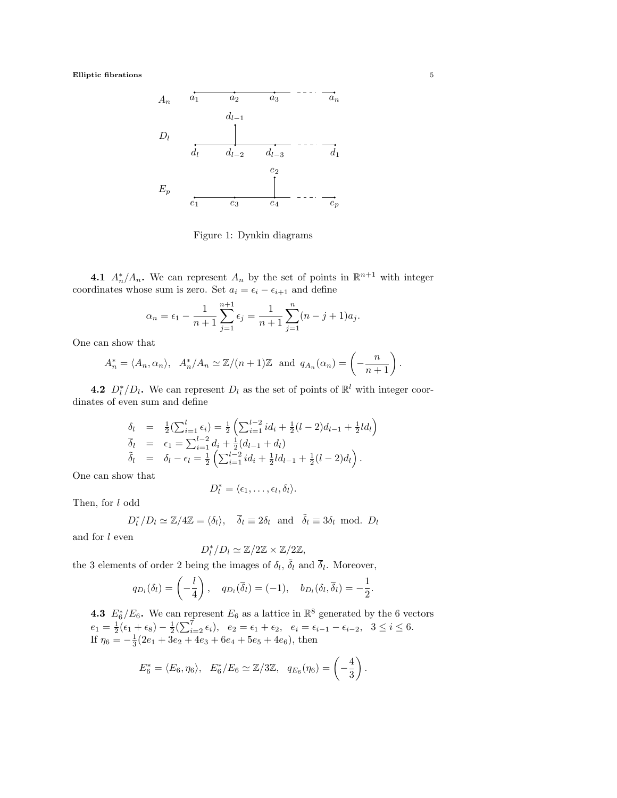

<span id="page-4-0"></span>Figure 1: Dynkin diagrams

4.1  $A_n^*/A_n$ . We can represent  $A_n$  by the set of points in  $\mathbb{R}^{n+1}$  with integer coordinates whose sum is zero. Set  $a_i = \epsilon_i - \epsilon_{i+1}$  and define

$$
\alpha_n = \epsilon_1 - \frac{1}{n+1} \sum_{j=1}^{n+1} \epsilon_j = \frac{1}{n+1} \sum_{j=1}^n (n-j+1)a_j.
$$

One can show that

$$
A_n^* = \langle A_n, \alpha_n \rangle
$$
,  $A_n^* / A_n \simeq \mathbb{Z}/(n+1)\mathbb{Z}$  and  $q_{A_n}(\alpha_n) = \left(-\frac{n}{n+1}\right)$ .

**4.2**  $D_l^*/D_l$ . We can represent  $D_l$  as the set of points of  $\mathbb{R}^l$  with integer coordinates of even sum and define

$$
\begin{array}{rcl}\n\delta_l & = & \frac{1}{2} \left( \sum_{i=1}^l \epsilon_i \right) = \frac{1}{2} \left( \sum_{i=1}^{l-2} id_i + \frac{1}{2} (l-2) d_{l-1} + \frac{1}{2} l d_l \right) \\
\overline{\delta}_l & = & \epsilon_1 = \sum_{i=1}^{l-2} d_i + \frac{1}{2} (d_{l-1} + d_l) \\
\tilde{\delta}_l & = & \delta_l - \epsilon_l = \frac{1}{2} \left( \sum_{i=1}^{l-2} id_i + \frac{1}{2} l d_{l-1} + \frac{1}{2} (l-2) d_l \right).\n\end{array}
$$

One can show that

$$
D_l^* = \langle \epsilon_1, \ldots, \epsilon_l, \delta_l \rangle.
$$

Then, for l odd

$$
D_l^*/D_l \simeq \mathbb{Z}/4\mathbb{Z} = \langle \delta_l \rangle
$$
,  $\overline{\delta}_l \equiv 2\delta_l$  and  $\overline{\delta}_l \equiv 3\delta_l$  mod.  $D_l$ 

and for  $l$  even

$$
D_l^*/D_l \simeq \mathbb{Z}/2\mathbb{Z} \times \mathbb{Z}/2\mathbb{Z},
$$

the 3 elements of order 2 being the images of  $\delta_l$ ,  $\tilde{\delta}_l$  and  $\bar{\delta}_l$ . Moreover,

$$
q_{D_l}(\delta_l) = \left(-\frac{l}{4}\right), \quad q_{D_l}(\overline{\delta}_l) = (-1), \quad b_{D_l}(\delta_l, \overline{\delta}_l) = -\frac{1}{2}.
$$

**4.3**  $E_6^*/E_6$ . We can represent  $E_6$  as a lattice in  $\mathbb{R}^8$  generated by the 6 vectors  $e_1 = \frac{1}{2}(\epsilon_1 + \epsilon_8) - \frac{1}{2}(\sum_{i=2}^7 \epsilon_i), \ \ e_2 = \epsilon_1 + \epsilon_2, \ \ e_i = \epsilon_{i-1} - \epsilon_{i-2}, \ \ 3 \leq i \leq 6.$ If  $\eta_6 = -\frac{1}{3}(2e_1 + 3e_2 + 4e_3 + 6e_4 + 5e_5 + 4e_6)$ , then

$$
E_6^* = \langle E_6, \eta_6 \rangle
$$
,  $E_6^* / E_6 \simeq \mathbb{Z}/3\mathbb{Z}$ ,  $q_{E_6}(\eta_6) = \left(-\frac{4}{3}\right)$ .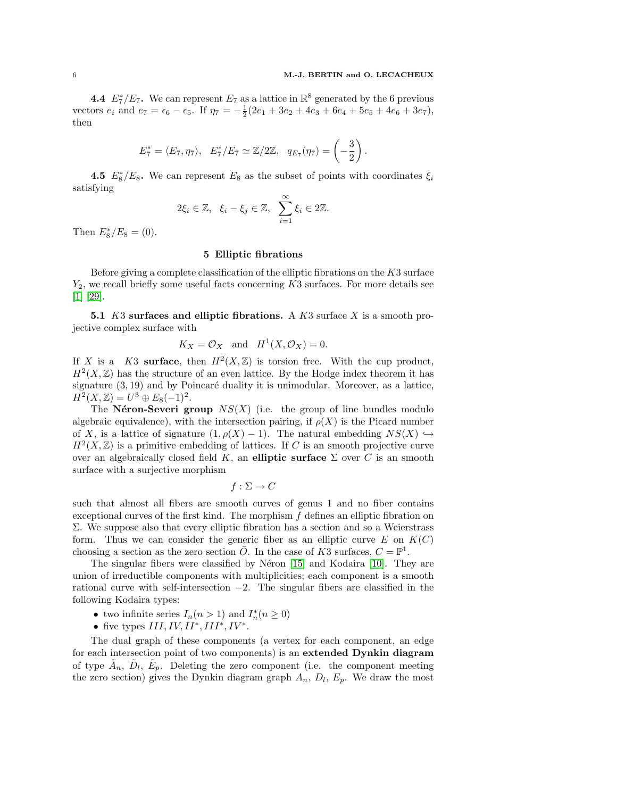**4.4**  $E_7^*/E_7$ . We can represent  $E_7$  as a lattice in  $\mathbb{R}^8$  generated by the 6 previous vectors  $e_i$  and  $e_7 = \epsilon_6 - \epsilon_5$ . If  $\eta_7 = -\frac{1}{2}(2e_1 + 3e_2 + 4e_3 + 6e_4 + 5e_5 + 4e_6 + 3e_7)$ , then

$$
E_7^* = \langle E_7, \eta_7 \rangle, \quad E_7^* / E_7 \simeq \mathbb{Z}/2\mathbb{Z}, \quad q_{E_7}(\eta_7) = \left(-\frac{3}{2}\right).
$$

**4.5**  $E_8^*/E_8$ . We can represent  $E_8$  as the subset of points with coordinates  $\xi_i$ satisfying

$$
2\xi_i \in \mathbb{Z}, \ \ \xi_i - \xi_j \in \mathbb{Z}, \ \ \sum_{i=1}^{\infty} \xi_i \in 2\mathbb{Z}.
$$

Then  $E_8^*/E_8 = (0)$ .

# 5 Elliptic fibrations

Before giving a complete classification of the elliptic fibrations on the  $K3$  surface  $Y_2$ , we recall briefly some useful facts concerning  $K3$  surfaces. For more details see [\[1\]](#page-36-3) [\[29\]](#page-37-11).

5.1  $K3$  surfaces and elliptic fibrations. A  $K3$  surface X is a smooth projective complex surface with

$$
K_X = \mathcal{O}_X
$$
 and  $H^1(X, \mathcal{O}_X) = 0$ .

If X is a K3 surface, then  $H^2(X,\mathbb{Z})$  is torsion free. With the cup product,  $H<sup>2</sup>(X, \mathbb{Z})$  has the structure of an even lattice. By the Hodge index theorem it has signature  $(3, 19)$  and by Poincaré duality it is unimodular. Moreover, as a lattice,  $H^2(X,\mathbb{Z}) = U^3 \oplus E_8(-1)^2.$ 

The Néron-Severi group  $NS(X)$  (i.e. the group of line bundles modulo algebraic equivalence), with the intersection pairing, if  $\rho(X)$  is the Picard number of X, is a lattice of signature  $(1, \rho(X) - 1)$ . The natural embedding  $NS(X) \hookrightarrow$  $H<sup>2</sup>(X, \mathbb{Z})$  is a primitive embedding of lattices. If C is an smooth projective curve over an algebraically closed field K, an elliptic surface  $\Sigma$  over C is an smooth surface with a surjective morphism

$$
f:\Sigma\to C
$$

such that almost all fibers are smooth curves of genus 1 and no fiber contains exceptional curves of the first kind. The morphism  $f$  defines an elliptic fibration on Σ. We suppose also that every elliptic fibration has a section and so a Weierstrass form. Thus we can consider the generic fiber as an elliptic curve  $E$  on  $K(C)$ choosing a section as the zero section  $\overline{O}$ . In the case of K3 surfaces,  $C = \mathbb{P}^1$ .

The singular fibers were classified by Néron [\[15\]](#page-37-12) and Kodaira [\[10\]](#page-37-13). They are union of irreductible components with multiplicities; each component is a smooth rational curve with self-intersection −2. The singular fibers are classified in the following Kodaira types:

- two infinite series  $I_n(n>1)$  and  $I_n^*(n \geq 0)$
- five types  $III, IV, II^*, III^*, IV^*.$

The dual graph of these components (a vertex for each component, an edge for each intersection point of two components) is an extended Dynkin diagram of type  $\tilde{A}_n$ ,  $\tilde{D}_l$ ,  $\tilde{E}_p$ . Deleting the zero component (i.e. the component meeting the zero section) gives the Dynkin diagram graph  $A_n$ ,  $D_l$ ,  $E_p$ . We draw the most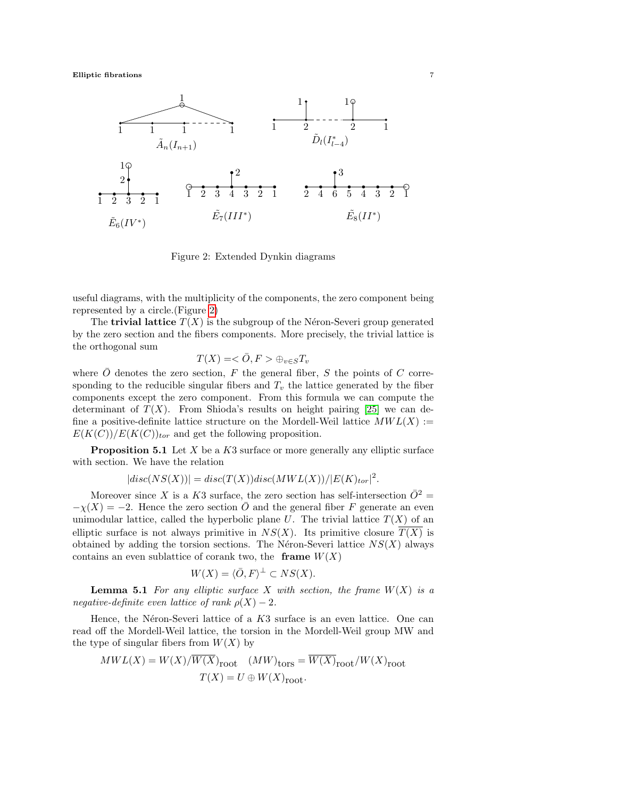

<span id="page-6-0"></span>Figure 2: Extended Dynkin diagrams

useful diagrams, with the multiplicity of the components, the zero component being represented by a circle.(Figure [2\)](#page-6-0)

The **trivial lattice**  $T(X)$  is the subgroup of the Néron-Severi group generated by the zero section and the fibers components. More precisely, the trivial lattice is the orthogonal sum

$$
T(X) = \langle \bar{O}, F \rangle \oplus_{v \in S} T_v
$$

where  $\overline{O}$  denotes the zero section, F the general fiber, S the points of C corresponding to the reducible singular fibers and  $T_v$  the lattice generated by the fiber components except the zero component. From this formula we can compute the determinant of  $T(X)$ . From Shioda's results on height pairing [\[25\]](#page-37-14) we can define a positive-definite lattice structure on the Mordell-Weil lattice  $MWL(X) :=$  $E(K(C))/E(K(C))_{tor}$  and get the following proposition.

<span id="page-6-1"></span>**Proposition 5.1** Let  $X$  be a  $K3$  surface or more generally any elliptic surface with section. We have the relation

 $|disc(NS(X))|=disc(T(X))disc(MWL(X))/|E(K)_{tor}|^2.$ 

Moreover since X is a K3 surface, the zero section has self-intersection  $\overline{O}^2$  =  $-\chi(X) = -2$ . Hence the zero section O and the general fiber F generate an even unimodular lattice, called the hyperbolic plane U. The trivial lattice  $T(X)$  of an elliptic surface is not always primitive in  $NS(X)$ . Its primitive closure  $\overline{T(X)}$  is obtained by adding the torsion sections. The Néron-Severi lattice  $NS(X)$  always contains an even sublattice of corank two, the **frame**  $W(X)$ 

$$
W(X) = \langle \overline{O}, F \rangle^{\perp} \subset NS(X).
$$

**Lemma 5.1** For any elliptic surface X with section, the frame  $W(X)$  is a negative-definite even lattice of rank  $\rho(X) - 2$ .

Hence, the Néron-Severi lattice of a  $K3$  surface is an even lattice. One can read off the Mordell-Weil lattice, the torsion in the Mordell-Weil group MW and the type of singular fibers from  $W(X)$  by

$$
MWL(X) = W(X)/\overline{W(X)}_{\text{root}} \quad (MW)_{\text{tors}} = \overline{W(X)}_{\text{root}}/W(X)_{\text{root}}
$$

$$
T(X) = U \oplus W(X)_{\text{root}}.
$$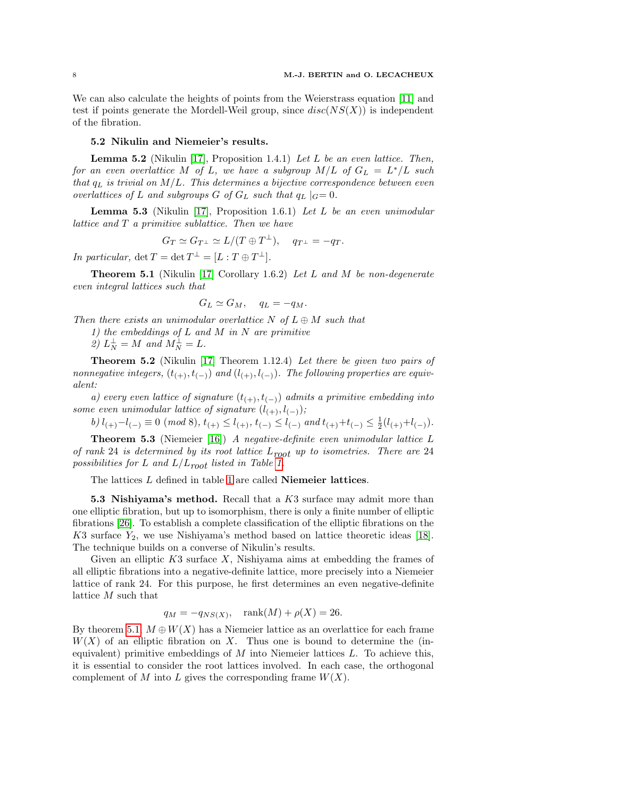We can also calculate the heights of points from the Weierstrass equation [\[11\]](#page-37-15) and test if points generate the Mordell-Weil group, since  $disc(NS(X))$  is independent of the fibration.

### 5.2 Nikulin and Niemeier's results.

<span id="page-7-4"></span>**Lemma 5.2** (Nikulin [\[17\]](#page-37-16), Proposition 1.4.1) Let L be an even lattice. Then, for an even overlattice M of L, we have a subgroup  $M/L$  of  $G_L = L^*/L$  such that  $q_L$  is trivial on  $M/L$ . This determines a bijective correspondence between even overlattices of L and subgroups G of  $G_L$  such that  $q_L |_{G} = 0$ .

<span id="page-7-2"></span>**Lemma 5.3** (Nikulin [\[17\]](#page-37-16), Proposition 1.6.1) Let L be an even unimodular lattice and T a primitive sublattice. Then we have

$$
G_T \simeq G_{T^{\perp}} \simeq L/(T \oplus T^{\perp}), \quad q_{T^{\perp}} = -q_T.
$$

In particular,  $\det T = \det T^{\perp} = [L : T \oplus T^{\perp}].$ 

<span id="page-7-0"></span>**Theorem 5.1** (Nikulin [\[17\]](#page-37-16) Corollary 1.6.2) Let L and M be non-degenerate even integral lattices such that

$$
G_L \simeq G_M, \quad q_L = -q_M.
$$

Then there exists an unimodular overlattice N of  $L \oplus M$  such that

1) the embeddings of  $L$  and  $M$  in  $N$  are primitive

2)  $L_N^{\perp} = M$  and  $M_N^{\perp} = L$ .

<span id="page-7-1"></span>**Theorem 5.2** (Nikulin [\[17\]](#page-37-16) Theorem 1.12.4) Let there be given two pairs of nonnegative integers,  $(t_{(+)}, t_{(-)})$  and  $(t_{(+)}, t_{(-)})$ . The following properties are equivalent:

a) every even lattice of signature  $(t_{(+)}, t_{(-)})$  admits a primitive embedding into some even unimodular lattice of signature  $(l_{(+)}, l_{(-)})$ ;

 $\text{b)} \ l_{(+)} - l_{(-)} \equiv 0 \ (\bmod \ 8), \ t_{(+)} \leq l_{(+)}, \ t_{(-)} \leq l_{(-)} \ \text{and} \ t_{(+)} + t_{(-)} \leq \tfrac{1}{2} (l_{(+)} + l_{(-)}).$ 

<span id="page-7-3"></span>**Theorem 5.3** (Niemeier [\[16\]](#page-37-17)) A negative-definite even unimodular lattice  $L$ of rank 24 is determined by its root lattice  $L_{root}$  up to isometries. There are 24 possibilities for L and  $L/L_{root}$  listed in Table [1.](#page-8-0)

The lattices  $L$  defined in table [1](#page-8-0) are called **Niemeier lattices**.

5.3 Nishiyama's method. Recall that a K3 surface may admit more than one elliptic fibration, but up to isomorphism, there is only a finite number of elliptic fibrations [\[26\]](#page-37-18). To establish a complete classification of the elliptic fibrations on the K3 surface  $Y_2$ , we use Nishiyama's method based on lattice theoretic ideas [\[18\]](#page-37-7). The technique builds on a converse of Nikulin's results.

Given an elliptic  $K3$  surface  $X$ , Nishiyama aims at embedding the frames of all elliptic fibrations into a negative-definite lattice, more precisely into a Niemeier lattice of rank 24. For this purpose, he first determines an even negative-definite lattice M such that

$$
q_M = -q_{NS(X)}, \quad \text{rank}(M) + \rho(X) = 26.
$$

By theorem [5.1,](#page-7-0)  $M \oplus W(X)$  has a Niemeier lattice as an overlattice for each frame  $W(X)$  of an elliptic fibration on X. Thus one is bound to determine the (inequivalent) primitive embeddings of  $M$  into Niemeier lattices  $L$ . To achieve this, it is essential to consider the root lattices involved. In each case, the orthogonal complement of M into L gives the corresponding frame  $W(X)$ .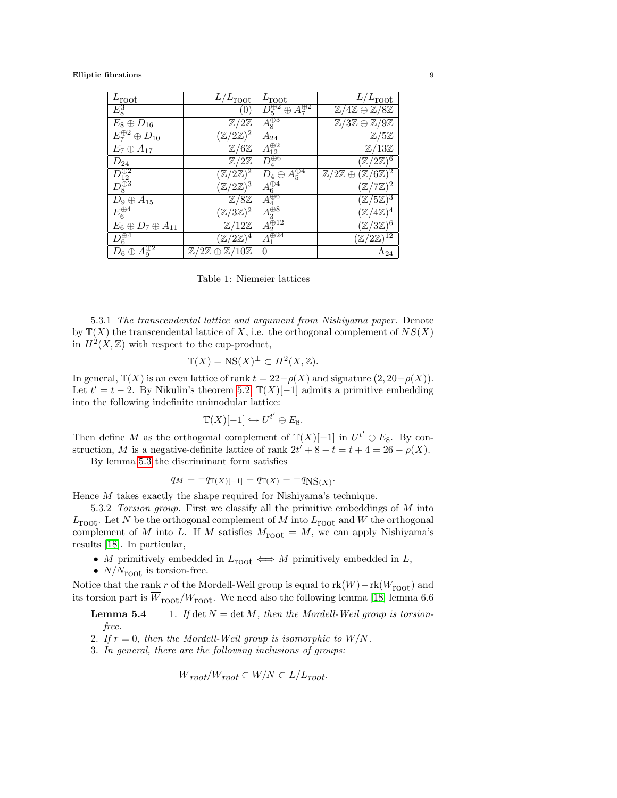| $L_{\text{root}}$                          | $L/L_{\text{root}}$                                     | $L_{\text{root}}$                     | $L/L_{\text{root}}$                                        |
|--------------------------------------------|---------------------------------------------------------|---------------------------------------|------------------------------------------------------------|
| $E_8^3$                                    | (0)                                                     | $D_5^{\oplus 2}\oplus A_7^{\oplus 2}$ | $\mathbb{Z}/4\mathbb{Z} \oplus \mathbb{Z}/8\mathbb{Z}$     |
| $E_8 \oplus D_{16}$                        | $\mathbb{Z}/2\mathbb{Z}$                                | $\vec{A}^{\oplus 3}_{8}$              | $\mathbb{Z}/3\mathbb{Z} \oplus \mathbb{Z}/9\mathbb{Z}$     |
| $\overline{E_7^{\oplus 2} \oplus D_{10}}$  | $(\mathbb{Z}/2\mathbb{Z})^{\overline{2}}$               | $A_{24}$                              | $\mathbb{Z}/5\mathbb{Z}$                                   |
| $E_7 \oplus A_{17}$                        | $\mathbb{Z}/6\mathbb{Z}$                                | $\overline{A_{12}^{\oplus 2}}$        | $\mathbb{Z}/13\mathbb{Z}$                                  |
| $D_{\underline{24}}$                       | $\mathbb{Z}/2\mathbb{Z}$                                | $\bar{D}_4^{\overline{\oplus} 6}$     | $(\mathbb{Z}/2\mathbb{Z})^{\overline{6}}$                  |
|                                            | $(\mathbb{Z}/2\overline{\mathbb{Z})^2}$                 | $D_4\oplus A_5^{\oplus 4}$            | $\mathbb{Z}/2\mathbb{Z} \oplus (\mathbb{Z}/6\mathbb{Z})^2$ |
| $\frac{D_{12}^{\oplus 2}}{D_8^{\oplus 3}}$ | $(\mathbb{Z}/2\mathbb{Z})^{\overline{3}}$               | $A_6^{\oplus 4}$                      | $(\mathbb{Z}/7\overline{\mathbb{Z})^2}$                    |
| $D_9 \oplus A_{15}$                        | $\mathbb{Z}/8\mathbb{Z}$                                | $\overline{A_4^{\oplus 6}}$           | $(\mathbb{Z}/5\mathbb{Z})^3$                               |
| $E_6^{\oplus 4}$                           | $(\mathbb{Z}/3\mathbb{Z})^{\overline{2}}$               | $A_3^{\overline{\oplus 8}}$           | $(\mathbb{Z}/4\mathbb{Z})^4$                               |
| $E_6 \oplus D_7 \oplus A_{11}$             | $\mathbb{Z}/12\mathbb{Z}$                               | $A_2^{\overrightarrow{\oplus 12}}$    | $(\mathbb{Z}/3\mathbb{Z})^6$                               |
| $D_6^{\oplus 4}$                           | $(\mathbb{Z}/2\mathbb{Z})^4$                            | $A_1^{\oplus 24}$                     | $(\mathbb{Z}/2\mathbb{Z})^{12}$                            |
| $A_9^{\oplus 2}$<br>$D_6\oplus$            | $\mathbb{Z}/2\mathbb{Z} \oplus \mathbb{Z}/10\mathbb{Z}$ | $\Omega$                              | $\Lambda_{24}$                                             |

<span id="page-8-0"></span>Table 1: Niemeier lattices

5.3.1 The transcendental lattice and argument from Nishiyama paper. Denote by  $\mathbb{T}(X)$  the transcendental lattice of X, i.e. the orthogonal complement of  $NS(X)$ in  $H^2(X,\mathbb{Z})$  with respect to the cup-product,

$$
\mathbb{T}(X) = \text{NS}(X)^{\perp} \subset H^2(X, \mathbb{Z}).
$$

In general,  $\mathbb{T}(X)$  is an even lattice of rank  $t = 22 - \rho(X)$  and signature  $(2, 20 - \rho(X))$ . Let  $t' = t - 2$ . By Nikulin's theorem [5.2,](#page-7-1)  $\mathbb{T}(X)[-1]$  admits a primitive embedding into the following indefinite unimodular lattice:

$$
\mathbb{T}(X)[-1] \hookrightarrow U^{t'} \oplus E_8.
$$

Then define M as the orthogonal complement of  $\mathbb{T}(X)[-1]$  in  $U^{t'} \oplus E_8$ . By construction, M is a negative-definite lattice of rank  $2t' + 8 - t = t + 4 = 26 - \rho(X)$ .

By lemma [5.3](#page-7-2) the discriminant form satisfies

$$
q_M = -q_{\mathbb{T}(X)[-1]} = q_{\mathbb{T}(X)} = -q_{\text{NS}(X)}.
$$

Hence M takes exactly the shape required for Nishiyama's technique.

<span id="page-8-1"></span>5.3.2 Torsion group. First we classify all the primitive embeddings of M into  $L_{\text{root}}$ . Let N be the orthogonal complement of M into  $L_{\text{root}}$  and W the orthogonal complement of M into L. If M satisfies  $M_{\text{root}} = M$ , we can apply Nishiyama's results [\[18\]](#page-37-7). In particular,

- M primitively embedded in  $L_{\text{root}} \iff M$  primitively embedded in L,
- $N/N_{\text{root}}$  is torsion-free.

Notice that the rank  $r$  of the Mordell-Weil group is equal to  $\text{rk}(W) - \text{rk}(W_{\text{root}})$  and its torsion part is  $\overline{W}_{\text{root}}/W_{\text{root}}$ . We need also the following lemma [\[18\]](#page-37-7) lemma 6.6

<span id="page-8-2"></span>**Lemma 5.4** 1. If det  $N = \det M$ , then the Mordell-Weil group is torsionfree.

- 2. If  $r = 0$ , then the Mordell-Weil group is isomorphic to  $W/N$ .
- 3. In general, there are the following inclusions of groups:

$$
\overline{W}_{root}/W_{root} \subset W/N \subset L/L_{root}.
$$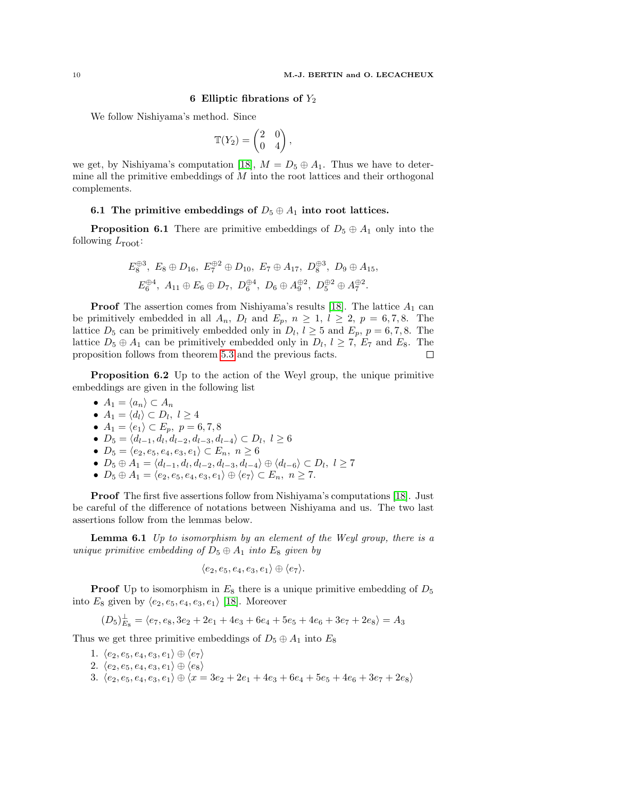# 6 Elliptic fibrations of  $Y_2$

We follow Nishiyama's method. Since

$$
\mathbb{T}(Y_2) = \begin{pmatrix} 2 & 0 \\ 0 & 4 \end{pmatrix},
$$

we get, by Nishiyama's computation [\[18\]](#page-37-7),  $M = D_5 \oplus A_1$ . Thus we have to determine all the primitive embeddings of  $M$  into the root lattices and their orthogonal complements.

# 6.1 The primitive embeddings of  $D_5 \oplus A_1$  into root lattices.

<span id="page-9-0"></span>**Proposition 6.1** There are primitive embeddings of  $D_5 \oplus A_1$  only into the following  $L_{\text{root}}$ :

$$
E_8^{\oplus 3}, E_8 \oplus D_{16}, E_7^{\oplus 2} \oplus D_{10}, E_7 \oplus A_{17}, D_8^{\oplus 3}, D_9 \oplus A_{15}, E_6^{\oplus 4}, A_{11} \oplus E_6 \oplus D_7, D_6^{\oplus 4}, D_6 \oplus A_9^{\oplus 2}, D_5^{\oplus 2} \oplus A_7^{\oplus 2}.
$$

**Proof** The assertion comes from Nishiyama's results [\[18\]](#page-37-7). The lattice  $A_1$  can be primitively embedded in all  $A_n$ ,  $D_l$  and  $E_p$ ,  $n \geq 1$ ,  $l \geq 2$ ,  $p = 6, 7, 8$ . The lattice  $D_5$  can be primitively embedded only in  $D_l$ ,  $l \geq 5$  and  $E_p$ ,  $p = 6, 7, 8$ . The lattice  $D_5 \oplus A_1$  can be primitively embedded only in  $D_l$ ,  $l \geq 7$ ,  $E_7$  and  $E_8$ . The proposition follows from theorem [5.3](#page-7-3) and the previous facts. Г

Proposition 6.2 Up to the action of the Weyl group, the unique primitive embeddings are given in the following list

- $A_1 = \langle a_n \rangle \subset A_n$
- $\bullet$   $A_1 = \langle d_l \rangle \subset D_l, \ l \geq 4$
- $A_1 = \langle e_1 \rangle \subset E_p, \ p = 6, 7, 8$
- $D_5 = \langle d_{l-1}, d_l, d_{l-2}, d_{l-3}, d_{l-4} \rangle \subset D_l, l \geq 6$
- $D_5 = \langle e_2, e_5, e_4, e_3, e_1 \rangle \subset E_n, n \ge 6$
- $D_5 \oplus A_1 = \langle d_{l-1}, d_l, d_{l-2}, d_{l-3}, d_{l-4} \rangle \oplus \langle d_{l-6} \rangle \subset D_l, l \geq 7$
- $D_5 \oplus A_1 = \langle e_2, e_5, e_4, e_3, e_1 \rangle \oplus \langle e_7 \rangle \subset E_n, n \geq 7.$

Proof The first five assertions follow from Nishiyama's computations [\[18\]](#page-37-7). Just be careful of the difference of notations between Nishiyama and us. The two last assertions follow from the lemmas below.

**Lemma 6.1** Up to isomorphism by an element of the Weyl group, there is a unique primitive embedding of  $D_5 \oplus A_1$  into  $E_8$  given by

$$
\langle e_2, e_5, e_4, e_3, e_1 \rangle \oplus \langle e_7 \rangle.
$$

**Proof** Up to isomorphism in  $E_8$  there is a unique primitive embedding of  $D_5$ into  $E_8$  given by  $\langle e_2, e_5, e_4, e_3, e_1 \rangle$  [\[18\]](#page-37-7). Moreover

 $(D_5)_{E_8}^{\perp} = \langle e_7, e_8, 3e_2 + 2e_1 + 4e_3 + 6e_4 + 5e_5 + 4e_6 + 3e_7 + 2e_8 \rangle = A_3$ 

Thus we get three primitive embeddings of  $D_5\oplus A_1$  into  $E_8$ 

- 1.  $\langle e_2, e_5, e_4, e_3, e_1 \rangle \oplus \langle e_7 \rangle$
- 2.  $\langle e_2, e_5, e_4, e_3, e_1 \rangle \oplus \langle e_8 \rangle$
- 3.  $\langle e_2, e_5, e_4, e_3, e_1 \rangle \oplus \langle x = 3e_2 + 2e_1 + 4e_3 + 6e_4 + 5e_5 + 4e_6 + 3e_7 + 2e_8 \rangle$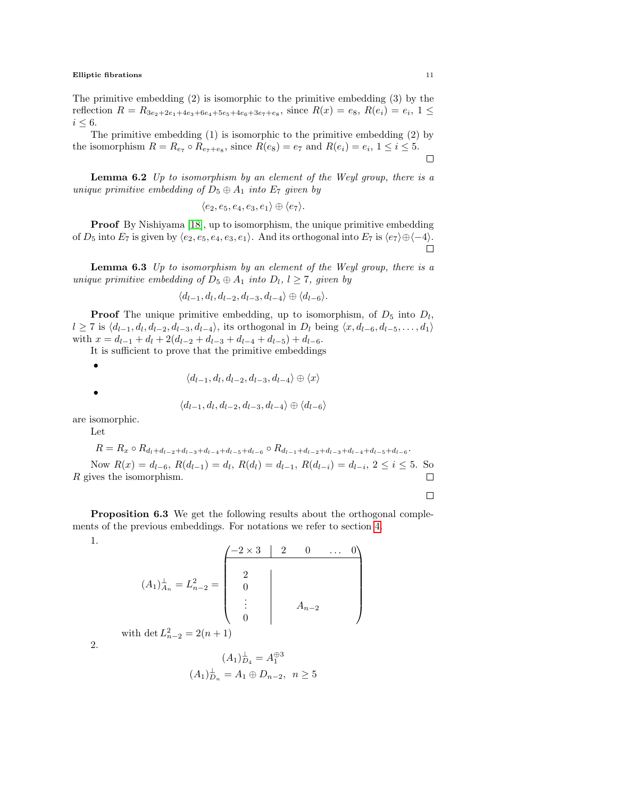The primitive embedding (2) is isomorphic to the primitive embedding (3) by the reflection  $R = R_{3e_2+2e_1+4e_3+6e_4+5e_5+4e_6+3e_7+e_8}$ , since  $R(x) = e_8$ ,  $R(e_i) = e_i$ ,  $1 \le$  $i \leq 6$ .

The primitive embedding (1) is isomorphic to the primitive embedding (2) by the isomorphism  $R = R_{e_7} \circ R_{e_7+e_8}$ , since  $R(e_8) = e_7$  and  $R(e_i) = e_i$ ,  $1 \le i \le 5$ .  $\Box$ 

**Lemma 6.2** Up to isomorphism by an element of the Weyl group, there is a unique primitive embedding of  $D_5 \oplus A_1$  into  $E_7$  given by

$$
\langle e_2, e_5, e_4, e_3, e_1 \rangle \oplus \langle e_7 \rangle.
$$

**Proof** By Nishiyama [\[18\]](#page-37-7), up to isomorphism, the unique primitive embedding of  $D_5$  into  $E_7$  is given by  $\langle e_2, e_5, e_4, e_3, e_1 \rangle$ . And its orthogonal into  $E_7$  is  $\langle e_7 \rangle \oplus \langle -4 \rangle$ .  $\Box$ 

**Lemma 6.3** Up to isomorphism by an element of the Weyl group, there is a unique primitive embedding of  $D_5 \oplus A_1$  into  $D_l$ ,  $l \geq 7$ , given by

$$
\langle d_{l-1}, d_l, d_{l-2}, d_{l-3}, d_{l-4} \rangle \oplus \langle d_{l-6} \rangle.
$$

**Proof** The unique primitive embedding, up to isomorphism, of  $D_5$  into  $D_l$ ,  $l \geq 7$  is  $\langle d_{l-1}, d_l, d_{l-2}, d_{l-3}, d_{l-4} \rangle$ , its orthogonal in  $D_l$  being  $\langle x, d_{l-6}, d_{l-5}, \ldots, d_1 \rangle$ with  $x = d_{l-1} + d_l + 2(d_{l-2} + d_{l-3} + d_{l-4} + d_{l-5}) + d_{l-6}$ .

It is sufficient to prove that the primitive embeddings

•

$$
\langle d_{l-1}, d_l, d_{l-2}, d_{l-3}, d_{l-4} \rangle \oplus \langle x \rangle
$$

$$
\langle d_{l-1}, d_l, d_{l-2}, d_{l-3}, d_{l-4} \rangle \oplus \langle d_{l-6} \rangle
$$

are isomorphic.

Let

•

$$
R = R_x \circ R_{d_l + d_{l-2} + d_{l-3} + d_{l-4} + d_{l-5} + d_{l-6}} \circ R_{d_{l-1} + d_{l-2} + d_{l-3} + d_{l-4} + d_{l-5} + d_{l-6}}.
$$
  
Now  $R(x) = d_{l-6}$ ,  $R(d_{l-1}) = d_l$ ,  $R(d_l) = d_{l-1}$ ,  $R(d_{l-i}) = d_{l-i}$ ,  $2 \le i \le 5$ . So  
*R* gives the isomorphism.

 $\Box$ 

<span id="page-10-0"></span>Proposition 6.3 We get the following results about the orthogonal complements of the previous embeddings. For notations we refer to section [4.](#page-3-0)

<span id="page-10-1"></span>1.

2.

$$
(A_1)^{\perp}_{A_n} = L^2_{n-2} = \begin{pmatrix} -2 \times 3 & 2 & 0 & \dots & 0 \\ 2 & & & & \\ 0 & & & & \\ \vdots & & & & \\ 0 & & & & \end{pmatrix}
$$

with det  $L_{n-2}^2 = 2(n+1)$ 

$$
(A_1)^{\perp}_{D_4} = A_1^{\oplus 3}
$$
  

$$
(A_1)^{\perp}_{D_n} = A_1 \oplus D_{n-2}, \ \ n \ge 5
$$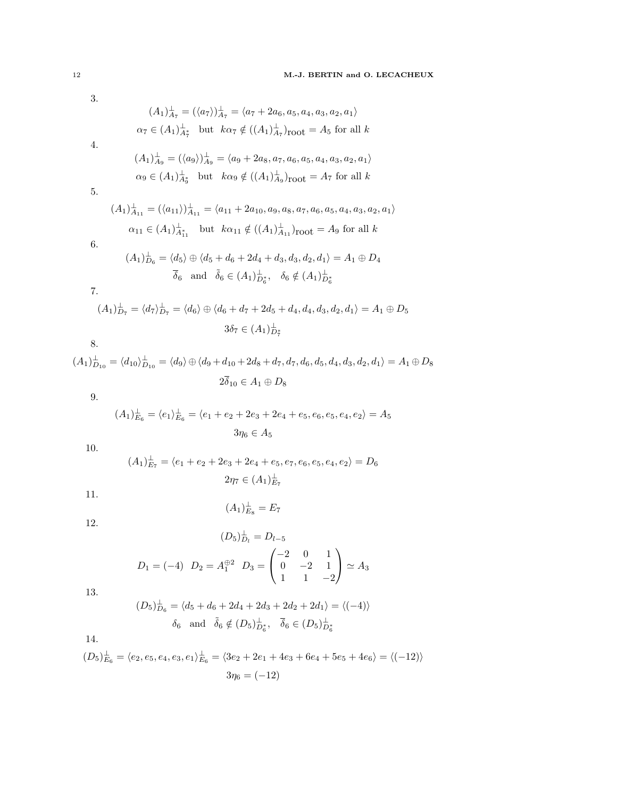<span id="page-11-10"></span><span id="page-11-9"></span><span id="page-11-8"></span><span id="page-11-5"></span>3.  $(A_1)_{A_7}^{\perp} = (\langle a_7 \rangle)_{A_7}^{\perp} = \langle a_7 + 2a_6, a_5, a_4, a_3, a_2, a_1 \rangle$  $\alpha_7 \in (A_1)_{A_7^*}^{\perp}$  but  $k\alpha_7 \notin ((A_1)_{A_7}^{\perp})_{\text{root}} = A_5$  for all  $k$ 4.  $(A_1)_{A_9}^{\perp} = (\langle a_9 \rangle)_{A_9}^{\perp} = \langle a_9 + 2a_8, a_7, a_6, a_5, a_4, a_3, a_2, a_1 \rangle$  $\alpha_9 \in (A_1)_{A_9}^{\perp}$  but  $k\alpha_9 \notin ((A_1)_{A_9}^{\perp})_{\text{root}} = A_7$  for all  $k$ 5.  $(A_1)_{A_{11}}^{\perp} = (\langle a_{11} \rangle)_{A_{11}}^{\perp} = \langle a_{11} + 2a_{10}, a_9, a_8, a_7, a_6, a_5, a_4, a_3, a_2, a_1 \rangle$  $\alpha_{11} \in (A_1)_{A_{11}}^{\perp}$  but  $k\alpha_{11} \notin ((A_1)_{A_{11}}^{\perp})_{\text{root}} = A_9$  for all k 6.  $(A_1)_{D_6}^{\perp} = \langle d_5 \rangle \oplus \langle d_5 + d_6 + 2d_4 + d_3, d_3, d_2, d_1 \rangle = A_1 \oplus D_4$  $\overline{\delta}_6$  and  $\tilde{\delta}_6 \in (A_1)_{D_6^*}^{\perp}, \quad \delta_6 \notin (A_1)_{D_6^*}^{\perp}$ 7.  $(A_1)_{D_7}^{\perp} = \langle d_7 \rangle_{D_7}^{\perp} = \langle d_6 \rangle \oplus \langle d_6 + d_7 + 2d_5 + d_4, d_4, d_3, d_2, d_1 \rangle = A_1 \oplus D_5$  $3\delta_7 \in (A_1)_{D_7^*}^{\perp}$ 7 8.  $(A_1)_{D_{10}}^{\perp} = \langle d_{10} \rangle_{D_{10}}^{\perp} = \langle d_9 \rangle \oplus \langle d_9 + d_{10} + 2d_8 + d_7, d_7, d_6, d_5, d_4, d_3, d_2, d_1 \rangle = A_1 \oplus D_8$  $2\overline{\delta}_{10} \in A_1 \oplus D_8$ 9.  $(A_1)_{E_6}^{\perp} = \langle e_1 \rangle_{E_6}^{\perp} = \langle e_1 + e_2 + 2e_3 + 2e_4 + e_5, e_6, e_5, e_4, e_2 \rangle = A_5$  $3\eta_6 \in A_5$ 10.  $(A_1)_{E_7}^{\perp} = \langle e_1 + e_2 + 2e_3 + 2e_4 + e_5, e_7, e_6, e_5, e_4, e_2 \rangle = D_6$ 

<span id="page-11-6"></span><span id="page-11-3"></span><span id="page-11-1"></span><span id="page-11-0"></span>

$$
2\eta_7\in (A_1)_{E_7}^{\perp}
$$

11.

$$
(A_1)_{E_8}^\perp = E_7
$$

<span id="page-11-2"></span>12.

$$
(D_5)^{\perp}_{D_l} = D_{l-5}
$$
  

$$
D_1 = (-4) \ D_2 = A_1^{\oplus 2} \ D_3 = \begin{pmatrix} -2 & 0 & 1 \\ 0 & -2 & 1 \\ 1 & 1 & -2 \end{pmatrix} \simeq A_3
$$

<span id="page-11-7"></span>13.

$$
(D_5)^{\perp}_{D_6} = \langle d_5 + d_6 + 2d_4 + 2d_3 + 2d_2 + 2d_1 \rangle = \langle (-4) \rangle
$$
  
 $\delta_6$  and  $\tilde{\delta}_6 \notin (D_5)^{\perp}_{D_6^*}, \quad \tilde{\delta}_6 \in (D_5)^{\perp}_{D_6^*}$ 

<span id="page-11-4"></span>14.

$$
(D_5)_{E_6}^{\perp} = \langle e_2, e_5, e_4, e_3, e_1 \rangle_{E_6}^{\perp} = \langle 3e_2 + 2e_1 + 4e_3 + 6e_4 + 5e_5 + 4e_6 \rangle = \langle (-12) \rangle
$$

$$
3\eta_6 = (-12)
$$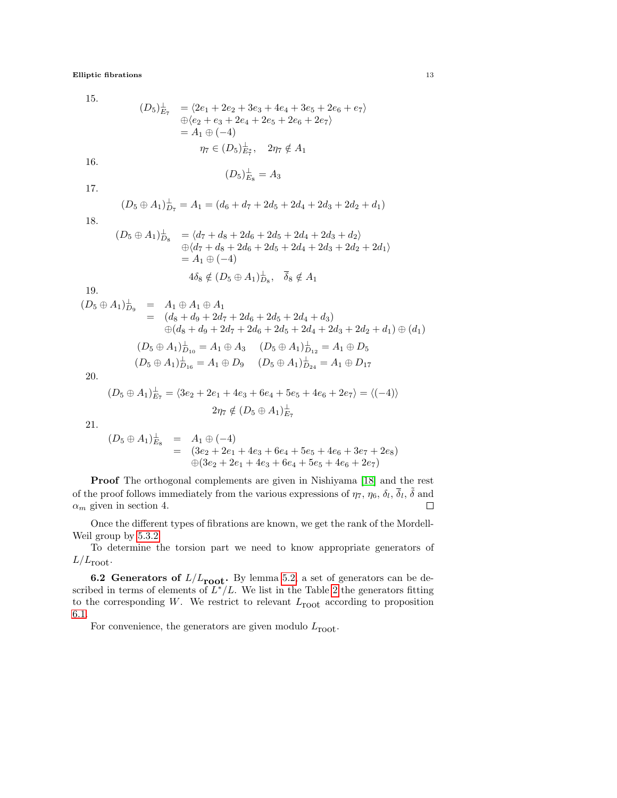<span id="page-12-1"></span>15.

$$
(D_5)^{\perp}_{E_7} = \langle 2e_1 + 2e_2 + 3e_3 + 4e_4 + 3e_5 + 2e_6 + e_7 \rangle
$$
  
\n
$$
\oplus \langle e_2 + e_3 + 2e_4 + 2e_5 + 2e_6 + 2e_7 \rangle
$$
  
\n
$$
= A_1 \oplus (-4)
$$
  
\n
$$
\eta_7 \in (D_5)^{\perp}_{E_7^*}, \quad 2\eta_7 \notin A_1
$$

16.

$$
(D_5)_{E_8}^{\perp} = A_3
$$

17.

$$
(D_5 \oplus A_1)^{\perp}_{D_7} = A_1 = (d_6 + d_7 + 2d_5 + 2d_4 + 2d_3 + 2d_2 + d_1)
$$

<span id="page-12-3"></span>18.

$$
(D_5 \oplus A_1)^{\perp}_{D_8} = \langle d_7 + d_8 + 2d_6 + 2d_5 + 2d_4 + 2d_3 + d_2 \rangle
$$
  
\n
$$
\oplus \langle d_7 + d_8 + 2d_6 + 2d_5 + 2d_4 + 2d_3 + 2d_2 + 2d_1 \rangle
$$
  
\n
$$
= A_1 \oplus (-4)
$$
  
\n
$$
4\delta_8 \notin (D_5 \oplus A_1)^{\perp}_{D_8}, \quad \overline{\delta}_8 \notin A_1
$$

19.

$$
(D_5 \oplus A_1)^{\perp}_{D_9} = A_1 \oplus A_1 \oplus A_1
$$
  
\n
$$
= (d_8 + d_9 + 2d_7 + 2d_6 + 2d_5 + 2d_4 + d_3)
$$
  
\n
$$
\oplus (d_8 + d_9 + 2d_7 + 2d_6 + 2d_5 + 2d_4 + 2d_3 + 2d_2 + d_1) \oplus (d_1)
$$
  
\n
$$
(D_5 \oplus A_1)^{\perp}_{D_{10}} = A_1 \oplus A_3 \qquad (D_5 \oplus A_1)^{\perp}_{D_{12}} = A_1 \oplus D_5
$$
  
\n
$$
(D_5 \oplus A_1)^{\perp}_{D_{16}} = A_1 \oplus D_9 \qquad (D_5 \oplus A_1)^{\perp}_{D_{24}} = A_1 \oplus D_{17}
$$
  
\n20.

<span id="page-12-2"></span>

$$
(D_5 \oplus A_1)^{\perp}_{E_7} = \langle 3e_2 + 2e_1 + 4e_3 + 6e_4 + 5e_5 + 4e_6 + 2e_7 \rangle = \langle (-4) \rangle
$$
  

$$
2\eta_7 \notin (D_5 \oplus A_1)^{\perp}_{E_7}
$$

<span id="page-12-0"></span>21.

$$
(D_5 \oplus A_1)^{\perp}_{E_8} = A_1 \oplus (-4)
$$
  
=  $(3e_2 + 2e_1 + 4e_3 + 6e_4 + 5e_5 + 4e_6 + 3e_7 + 2e_8)$   
 $\oplus (3e_2 + 2e_1 + 4e_3 + 6e_4 + 5e_5 + 4e_6 + 2e_7)$ 

Proof The orthogonal complements are given in Nishiyama [\[18\]](#page-37-7) and the rest of the proof follows immediately from the various expressions of  $\eta_7$ ,  $\eta_6$ ,  $\delta_l$ ,  $\bar{\delta}_l$ ,  $\tilde{\delta}$  and  $\alpha_m$  given in section 4.  $\Box$ 

Once the different types of fibrations are known, we get the rank of the Mordell-Weil group by [5.3.2](#page-8-1)

To determine the torsion part we need to know appropriate generators of  $L/L_{\rm{root}}.$ 

**6.2 Generators of**  $L/L_{\text{root}}$ . By lemma [5.2,](#page-7-4) a set of generators can be described in terms of elements of  $L^*/L$ . We list in the Table [2](#page-13-0) the generators fitting to the corresponding  $W$ . We restrict to relevant  $L_{\text{root}}$  according to proposition [6.1.](#page-9-0)

For convenience, the generators are given modulo  $L_{\text{root}}$ .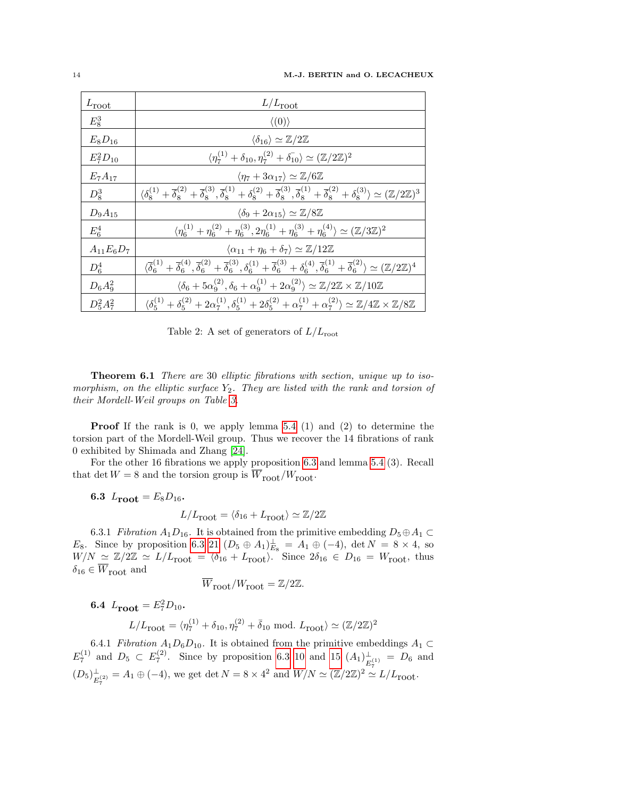| $L_{\text{root}}$ | $L/L_{\rm root}$                                                                                                                                                                                                                                                                     |
|-------------------|--------------------------------------------------------------------------------------------------------------------------------------------------------------------------------------------------------------------------------------------------------------------------------------|
| $E_8^3$           | $\langle (0) \rangle$                                                                                                                                                                                                                                                                |
| $E_8D_{16}$       | $\langle \delta_{16} \rangle \simeq \mathbb{Z}/2\mathbb{Z}$                                                                                                                                                                                                                          |
| $E_7^2D_{10}$     | $\langle \eta_7^{(1)} + \delta_{10}, \eta_7^{(2)} + \delta_{10}^{(1)} \rangle \simeq (\mathbb{Z}/2\mathbb{Z})^2$                                                                                                                                                                     |
| $E_7A_{17}$       | $\langle \eta_7 + 3\alpha_{17} \rangle \simeq \mathbb{Z}/6\mathbb{Z}$                                                                                                                                                                                                                |
| $D_8^3$           | $\langle \delta_8^{(1)} + \overline{\delta}_8^{(2)} + \overline{\delta}_8^{(3)}, \overline{\delta}_8^{(1)} + \delta_8^{(2)} + \overline{\delta}_8^{(3)}, \overline{\delta}_8^{(1)} + \overline{\delta}_8^{(2)} + \delta_8^{(3)} \rangle \simeq (\mathbb{Z}/2\mathbb{Z})^3$           |
| $D_9A_{15}$       | $\langle \delta_9 + 2\alpha_{15} \rangle \simeq \mathbb{Z}/8\mathbb{Z}$                                                                                                                                                                                                              |
| $E_6^4$           | $\langle \eta_6^{(1)} + \eta_6^{(2)} + \eta_6^{(3)}, 2\eta_6^{(1)} + \eta_6^{(3)} + \eta_6^{(4)} \rangle \simeq (\mathbb{Z}/3\mathbb{Z})^2$                                                                                                                                          |
| $A_{11}E_6D_7$    | $\langle \alpha_{11} + \eta_6 + \delta_7 \rangle \simeq \mathbb{Z}/12\mathbb{Z}$                                                                                                                                                                                                     |
| $D_6^4$           | $\langle \overline{\delta}_6^{(1)} + \overline{\delta}_6^{(4)}, \overline{\delta}_6^{(2)} + \overline{\delta}_6^{(3)}, \delta_6^{(1)} + \overline{\delta}_6^{(3)} + \delta_6^{(4)}, \overline{\delta}_6^{(1)} + \overline{\delta}_6^{(2)} \rangle \simeq (\mathbb{Z}/2\mathbb{Z})^4$ |
| $D_6A_9^2$        | $\langle \delta_6 + 5\alpha^{(2)}_0, \delta_6 + \alpha^{(1)}_9 + 2\alpha^{(2)}_9 \rangle \simeq \mathbb{Z}/2\mathbb{Z} \times \mathbb{Z}/10\mathbb{Z}$                                                                                                                               |
| $D_5^2A_7^2$      | $\langle \delta_5^{(1)} + \delta_5^{(2)} + 2\alpha_7^{(1)}, \delta_5^{(1)} + 2\delta_5^{(2)} + \alpha_7^{(1)} + \alpha_7^{(2)} \rangle \simeq \mathbb{Z}/4\mathbb{Z} \times \mathbb{Z}/8\mathbb{Z}$                                                                                  |

<span id="page-13-0"></span>Table 2: A set of generators of  $L/L_{\text{root}}$ 

Theorem 6.1 There are 30 elliptic fibrations with section, unique up to isomorphism, on the elliptic surface  $Y_2$ . They are listed with the rank and torsion of their Mordell-Weil groups on Table [3.](#page-14-0)

Proof If the rank is 0, we apply lemma [5.4](#page-8-2) (1) and (2) to determine the torsion part of the Mordell-Weil group. Thus we recover the 14 fibrations of rank 0 exhibited by Shimada and Zhang [\[24\]](#page-37-6).

For the other 16 fibrations we apply proposition [6.3](#page-10-0) and lemma [5.4](#page-8-2) (3). Recall that det  $W = 8$  and the torsion group is  $\overline{W}_{\text{root}}/W_{\text{root}}$ .

6.3  $L_{\text{root}} = E_8 D_{16}$ .

$$
L/L_{\text{root}} = \langle \delta_{16} + L_{\text{root}} \rangle \simeq \mathbb{Z}/2\mathbb{Z}
$$

6.3.1 Fibration  $A_1D_{16}$ . It is obtained from the primitive embedding  $D_5 \oplus A_1 \subset$ E<sub>8</sub>. Since by proposition [6.3](#page-10-0) [21](#page-12-0)  $(D_5 \oplus A_1)_{E_8}^{\perp} = A_1 \oplus (-4)$ , det  $N = 8 \times 4$ , so  $W/N \simeq \mathbb{Z}/2\mathbb{Z} \simeq L/L_{\text{root}} = \langle \delta_{16} + L_{\text{root}} \rangle$ . Since  $2\delta_{16} \in D_{16} = W_{\text{root}}$ , thus  $\delta_{16} \in \overline{W}_{\text{root}}$  and

$$
\overline{W}_{\text{root}}/W_{\text{root}} = \mathbb{Z}/2\mathbb{Z}.
$$

**6.4**  $L_{\text{root}} = E_7^2 D_{10}$ .

$$
L/L_{\text{root}} = \langle \eta_7^{(1)} + \delta_{10}, \eta_7^{(2)} + \bar{\delta}_{10} \text{ mod. } L_{\text{root}} \rangle \simeq (\mathbb{Z}/2\mathbb{Z})^2
$$

6.4.1 Fibration  $A_1D_6D_{10}$ . It is obtained from the primitive embeddings  $A_1 \subset$  $E_7^{(1)}$  and  $D_5 \subset E_7^{(2)}$ . Since by proposition [6.3](#page-10-0) [10](#page-11-0) and [15](#page-12-1)  $(A_1)^{\perp}_{E_7}$  $\frac{1}{E_7^{(1)}} = D_6$  and  $(D_5)^{\perp}_{E}$  $\frac{1}{E_7^{(2)}} = A_1 \oplus (-4)$ , we get det  $N = 8 \times 4^2$  and  $W/N \simeq (\mathbb{Z}/2\mathbb{Z})^2 \simeq L/L_{\text{root}}$ .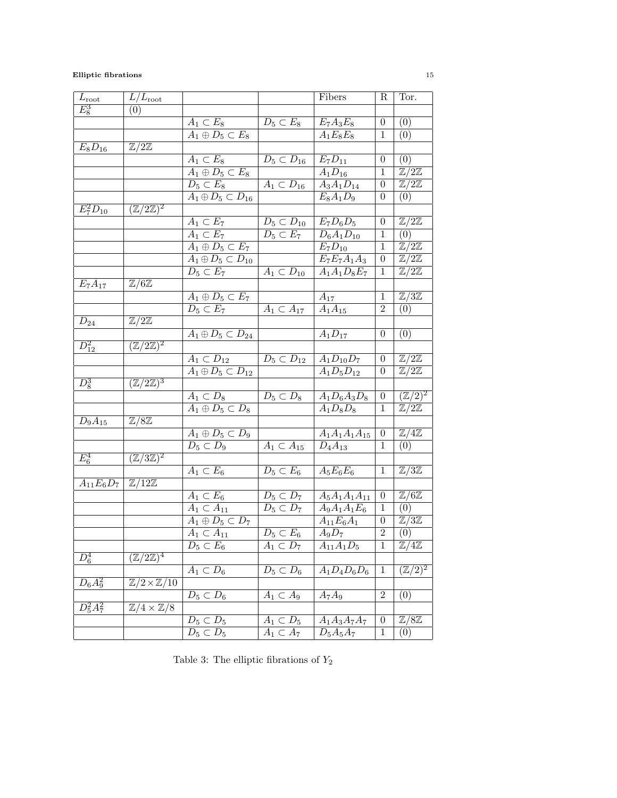| $L_{\rm root}$ | $L/L_{\rm root}$                        |                                            |                                 | <b>Fibers</b>             | $\mathbf R$      | Tor.                                |
|----------------|-----------------------------------------|--------------------------------------------|---------------------------------|---------------------------|------------------|-------------------------------------|
| $E_8^3$        | (0)                                     |                                            |                                 |                           |                  |                                     |
|                |                                         | $A_1 \subset E_8$                          | $D_5 \subset E_8$               | $E_7A_3E_8$               | $\theta$         | (0)                                 |
|                |                                         | $A_1 \oplus D_5 \subset E_8$               |                                 | $\overline{A_1E_8E_8}$    | $\mathbf{1}$     | (0)                                 |
| $E_8D_{16}$    | $\mathbb{Z}/2\mathbb{Z}$                |                                            |                                 |                           |                  |                                     |
|                |                                         | $A_1 \subset E_8$                          | $D_5 \subset D_{16}$            | $E_7D_{11}$               | $\overline{0}$   | (0)                                 |
|                |                                         | $A_1 \oplus D_5 \subset E_8$               |                                 | $A_1D_{16}$               | $\mathbf{1}$     | $\mathbb{Z}/2\mathbb{Z}$            |
|                |                                         | $D_5 \subset E_8$                          | $A_1 \subset D_{16}$            | $A_3A_1D_{14}$            | $\boldsymbol{0}$ | $\mathbb{Z}/2\mathbb{Z}$            |
|                |                                         | $A_1 \oplus D_5 \subset D_{16}$            |                                 | $E_8A_1D_9$               | $\overline{0}$   | (0)                                 |
| $E_7^2D_{10}$  | $(\mathbb{Z}/2\mathbb{Z})^2$            |                                            |                                 |                           |                  |                                     |
|                |                                         | $A_1 \subset E_7$                          | $D_5\subset D_{10}$             | $\overline{E_7D_6D_5}$    | $\boldsymbol{0}$ | $\mathbb{Z}/2\mathbb{Z}$            |
|                |                                         | $A_1 \subset E_7$                          | $D_5 \subset E_7$               | $D_6A_1D_{10}$            | 1                | (0)                                 |
|                |                                         | $A_1 \oplus D_5 \subset E_7$               |                                 | $E_7D_{10}$               | $\mathbf{1}$     | $\mathbb{Z}/2\mathbb{Z}$            |
|                |                                         | $\overline{A_1 \oplus D_5} \subset D_{10}$ |                                 | $E_7E_7A_1A_3$            | $\boldsymbol{0}$ | $\mathbb{Z}/2\mathbb{Z}$            |
|                |                                         | $D_5\subset E_7$                           | $A_1 \subset D_{10}$            | $\overline{A_1A_1D_8E_7}$ | 1                | $\mathbb{Z}/2\mathbb{Z}$            |
| $E_7A_{17}$    | $\mathbb{Z}/6\mathbb{Z}$                |                                            |                                 |                           |                  |                                     |
|                |                                         | $\overline{A_1 \oplus D_5} \subset E_7$    |                                 | $A_{17}$                  | $\mathbf{1}$     | $\mathbb{Z}/3\mathbb{Z}$            |
|                |                                         | $D_5 \subset E_7$                          | $\overline{A_1 \subset A_{17}}$ | $A_1A_{15}$               | $\overline{2}$   | (0)                                 |
| $D_{24}$       | $\mathbb{Z}/2\mathbb{Z}$                |                                            |                                 |                           |                  |                                     |
|                |                                         | $\overline{A_1 \oplus D_5} \subset D_{24}$ |                                 | $A_1D_{17}$               | $\boldsymbol{0}$ | (0)                                 |
| $D_{12}^2$     | $(\mathbb{Z}/2\mathbb{Z})^2$            |                                            |                                 |                           |                  |                                     |
|                |                                         | $A_1 \subset D_{12}$                       | $D_5 \subset D_{12}$            | $A_1D_{10}D_7$            | $\boldsymbol{0}$ | $\mathbb{Z}/2\mathbb{Z}$            |
|                |                                         | $\overline{A_1 \oplus D_5} \subset D_{12}$ |                                 | $A_1D_5D_{12}$            | $\boldsymbol{0}$ | $\mathbb{Z}/2\mathbb{Z}$            |
| $D_8^3$        | $(\mathbb{Z}/2\mathbb{Z})^3$            |                                            |                                 |                           |                  |                                     |
|                |                                         | $A_1 \subset D_8$                          | $D_5 \subset D_8$               | $\overline{A_1D_6A_3D_8}$ | $\overline{0}$   | $(\mathbb{Z}/2)^2$                  |
|                |                                         | $\overline{A_1 \oplus D_5} \subset D_8$    |                                 | $A_1D_8D_8$               | $\mathbf{1}$     | $\mathbb{Z}/2\mathbb{Z}$            |
| $D_9A_{15}$    | $\mathbb{Z}/8\mathbb{Z}$                |                                            |                                 |                           |                  |                                     |
|                |                                         | $A_1 \oplus D_5 \subset D_9$               |                                 | $A_1A_1A_1A_{15}$         | $\boldsymbol{0}$ | $\mathbb{Z}/4\mathbb{Z}$            |
|                |                                         | $D_5 \subset D_9$                          | $A_1 \subset A_{15}$            | $D_4A_{13}$               | 1                | (0)                                 |
| $E_6^4$        | $(\mathbb{Z}/3\mathbb{Z})^2$            |                                            |                                 |                           |                  |                                     |
|                |                                         | $A_1 \subset E_6$                          | $D_5\subset E_6$                | $A_5E_6E_6$               | $\mathbf{1}$     | $\mathbb{Z}/3\mathbb{Z}$            |
| $A_{11}E_6D_7$ | $\mid \mathbb{Z}/12\mathbb{Z}$          |                                            |                                 |                           |                  |                                     |
|                |                                         | $A_1 \subset E_6$                          | $D_5 \subset D_7$               | $A_5A_1A_1A_{11}$         | 0                | $\overline{\mathbb{Z}}/6\mathbb{Z}$ |
|                |                                         | $\overline{A_1} \subset A_{11}$            | $D_5\subset D_7$                | $A_9A_1A_1E_6$            | 1                | (0)                                 |
|                |                                         | $A_1 \oplus D_5 \subset D_7$               |                                 | $A_{11}E_6A_1$            | $\theta$         | $\mathbb{Z}/3\mathbb{Z}$            |
|                |                                         | $A_1 \subset A_{11}$                       | $D_5 \subset E_6$               | $A_9D_7$                  | $\overline{2}$   | (0)                                 |
|                |                                         | $D_5 \subset E_6$                          | $A_1 \subset D_7$               | $A_{11}A_1D_5$            | $\,1$            | $\mathbb{Z}/4\mathbb{Z}$            |
| $D_6^4$        | $(\overline{\mathbb{Z}/2\mathbb{Z})^4}$ |                                            |                                 |                           |                  |                                     |
|                |                                         | $A_1 \subset D_6$                          | $D_5 \subset D_6$               | $A_1D_4D_6D_6$            | $\mathbf 1$      | $(\overline{\mathbb{Z}/2})^2$       |
| $D_6A_9^2$     | $\mathbb{Z}/2 \times \mathbb{Z}/10$     |                                            |                                 |                           |                  |                                     |
|                |                                         | $D_5\subset D_6$                           | $A_1 \subset A_9$               | $A_7A_9$                  | $\overline{2}$   | (0)                                 |
| $D_5^2A_7^2$   | $\mathbb{Z}/4 \times \mathbb{Z}/8$      |                                            |                                 |                           |                  |                                     |
|                |                                         | $D_5\subset D_5$                           | $A_1 \subset D_5$               | $A_1A_3A_7A_7$            | $\overline{0}$   | $\mathbb{Z}/8\mathbb{Z}$            |
|                |                                         | $D_5\subset D_5$                           | $A_1 \subset A_7$               | $\overline{D_5A_5A_7}$    | $\mathbf{1}$     | (0)                                 |
|                |                                         |                                            |                                 |                           |                  |                                     |

<span id="page-14-0"></span>Table 3: The elliptic fibrations of  $\mathcal{Y}_2$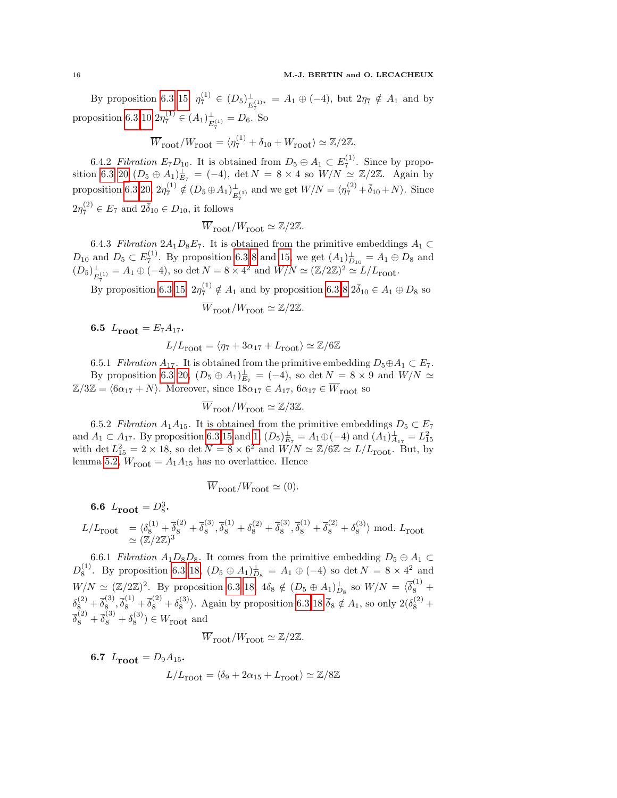By proposition [6.3](#page-10-0) [15,](#page-12-1)  $\eta_7^{(1)} \in (D_5)_{E}^{\perp}$  $\frac{1}{E_7^{(1)*}} = A_1 \oplus (-4)$ , but  $2\eta_7 \notin A_1$  and by proposition [6.3](#page-10-0) [10](#page-11-0)  $2\eta_7^{(1)} \in (A_1)_{F^{(1)}}^{\perp} = D_6$ .  $\frac{1}{E_7^{(1)}} = D_6$ . So

$$
\overline{W}_{\text{root}}/W_{\text{root}} = \langle \eta_7^{(1)} + \delta_{10} + W_{\text{root}} \rangle \simeq \mathbb{Z}/2\mathbb{Z}.
$$

6.4.2 Fibration  $E_7D_{10}$ . It is obtained from  $D_5 \oplus A_1 \subset E_7^{(1)}$ . Since by propo-sition [6.3](#page-10-0) [20](#page-12-2)  $(D_5 \oplus A_1)^{\perp}_{E_7} = (-4)$ , det  $N = 8 \times 4$  so  $W/N \simeq \mathbb{Z}/2\mathbb{Z}$ . Again by proposition [6.3](#page-10-0) [20,](#page-12-2)  $2\eta_7^{(1)} \notin (D_5 \oplus A_1)_{E}^{\perp}$  $\frac{1}{E_7^{(1)}}$  and we get  $W/N = \langle \eta_7^{(2)} + \bar{\delta}_{10} + N \rangle$ . Since  $2\eta_7^{(2)} \in E_7$  and  $2\bar{\delta}_{10} \in D_{10}$ , it follows

$$
\overline{W}_{\text{root}}/W_{\text{root}} \simeq \mathbb{Z}/2\mathbb{Z}.
$$

6.4.3 Fibration  $2A_1D_8E_7$ . It is obtained from the primitive embeddings  $A_1 \subset$  $D_{10}$  and  $D_5 \subset E_7^{(1)}$ . By proposition [6.3](#page-10-0) [8](#page-11-1) and [15,](#page-12-1) we get  $(A_1)_{D_{10}}^{\perp} = A_1 \oplus D_8$  and  $(D_5)^{\perp}_{\scriptscriptstyle{E}}$  $\mathcal{L}_{E_7^{(1)}}^{\perp} = A_1 \oplus (-4)$ , so det  $N = 8 \times 4^2$  and  $W/N \simeq (\mathbb{Z}/2\mathbb{Z})^2 \simeq L/L_{\text{root}}$ .

By proposition [6.3](#page-10-0) [15,](#page-12-1)  $2\eta_7^{(1)} \notin A_1$  and by proposition 6.3 [8](#page-11-1)  $2\bar{\delta}_{10} \in A_1 \oplus D_8$  so

$$
\overline{W}_{\text{root}}/W_{\text{root}} \simeq \mathbb{Z}/2\mathbb{Z}.
$$

6.5  $L_{\text{root}} = E_7 A_{17}$ .

$$
L/L_{\rm root} = \langle \eta_7 + 3\alpha_{17} + L_{\rm root} \rangle \simeq \mathbb{Z}/6\mathbb{Z}
$$

6.5.1 Fibration  $A_{17}$ . It is obtained from the primitive embedding  $D_5 \oplus A_1 \subset E_7$ . By proposition [6.3](#page-10-0) [20,](#page-12-2)  $(D_5 \oplus A_1)^{\perp}_{E_7} = (-4)$ , so det  $N = 8 \times 9$  and  $W/N \simeq$  $\mathbb{Z}/3\mathbb{Z} = \langle 6\alpha_{17} + N \rangle$ . Moreover, since  $18\alpha_{17} \in A_{17}$ ,  $6\alpha_{17} \in \overline{W}_{\text{root}}$  so

$$
\overline{W}_{\text{root}}/W_{\text{root}} \simeq \mathbb{Z}/3\mathbb{Z}.
$$

6.5.2 Fibration  $A_1A_{15}$ . It is obtained from the primitive embeddings  $D_5 \subset E_7$ and  $A_1 \subset A_{17}$ . By proposition [6.3](#page-10-0) [15](#page-12-1) and [1,](#page-10-1)  $(D_5)^{\perp}_{E_7} = A_1 \oplus (-4)$  and  $(A_1)^{\perp}_{A_{17}} = L_{15}^2$ with det  $L_{15}^2 = 2 \times 18$ , so det  $N = 8 \times 6^2$  and  $W/N \simeq \mathbb{Z}/6\mathbb{Z} \simeq L/L_{\text{root}}$ . But, by lemma [5.2,](#page-7-4)  $W_{\text{root}} = A_1 A_{15}$  has no overlattice. Hence

$$
\overline{W}_{\text{root}}/W_{\text{root}} \simeq (0).
$$

6.6  $L_{\text{root}} = D_8^3$ .

$$
\begin{array}{ll} L/L_{\mbox{root}} & = \langle \delta_8^{(1)} + \overline{\delta}_8^{(2)} + \overline{\delta}_8^{(3)}, \overline{\delta}_8^{(1)} + \delta_8^{(2)} + \overline{\delta}_8^{(3)}, \overline{\delta}_8^{(1)} + \overline{\delta}_8^{(2)} + \delta_8^{(3)} \rangle \bmod. \ L_{\mbox{root}} \\ & \simeq (\mathbb{Z}/2\mathbb{Z})^3 \end{array}
$$

6.6.1 Fibration  $A_1D_8D_8$ . It comes from the primitive embedding  $D_5 \oplus A_1 \subset$  $D_8^{(1)}$ . By proposition [6.3](#page-10-0) [18,](#page-12-3)  $(D_5 \oplus A_1)^{\perp}_{D_8} = A_1 \oplus (-4)$  so det  $N = 8 \times 4^2$  and  $W/N \simeq (\mathbb{Z}/2\mathbb{Z})^2$ . By proposition [6.3](#page-10-0) [18,](#page-12-3)  $4\delta_8 \notin (D_5 \oplus A_1)^{\perp}_{D_8}$  so  $W/N = \langle \overline{\delta}_8^{(1)} +$  $\delta_8^{(2)} + \overline{\delta}_8^{(3)}$  $\frac{1}{8}$ ,  $\overline{\delta}_8^{(1)} + \overline{\delta}_8^{(2)} + \delta_8^{(3)}$ . Again by proposition [6.3](#page-10-0) [18](#page-12-3)  $\overline{\delta}_8 \notin A_1$ , so only  $2(\delta_8^{(2)} +$  $\overline{\delta_8}^{(2)} + \overline{\delta_8}^{(3)} + \delta_8^{(3)}$   $\in W_{\text{root}}$  and

$$
\overline{W}_{\text{root}}/W_{\text{root}} \simeq \mathbb{Z}/2\mathbb{Z}.
$$

**6.7** 
$$
L_{\text{root}} = D_9 A_{15}
$$
.  
 $L/L_{\text{root}} = \langle \delta_9 + 2\alpha_{15} + L_{\text{root}} \rangle \simeq \mathbb{Z}/8\mathbb{Z}$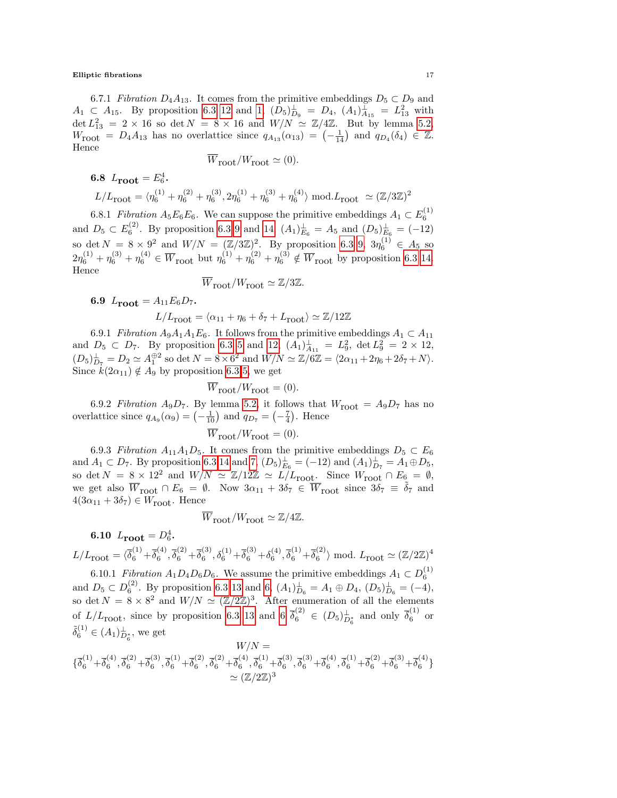6.7.1 Fibration  $D_4A_{13}$ . It comes from the primitive embeddings  $D_5 \subset D_9$  and  $A_1 \subset A_{15}$ . By proposition [6.3](#page-10-0) [12](#page-11-2) and [1,](#page-10-1)  $(D_5)_{D_9}^{\perp} = D_4$ ,  $(A_1)_{A_{15}}^{\perp} = L_{13}^2$  with  $\det L_{13}^2 = 2 \times 16$  so  $\det N = 8 \times 16$  and  $W/N \simeq \mathbb{Z}/4\mathbb{Z}$ . But by lemma [5.2,](#page-7-4)  $W_{\text{root}} = D_4 A_{13}$  has no overlattice since  $q_{A_{13}}(\alpha_{13}) = \begin{pmatrix} -1 \\ -14 \end{pmatrix}$  and  $q_{D_4}(\delta_4) \in \mathbb{Z}$ . Hence

$$
W_{\text{root}}/W_{\text{root}} \simeq (0).
$$

6.8  $L_{\text{root}} = E_6^4$ .

$$
L/L_{\text{root}} = \langle \eta_6^{(1)} + \eta_6^{(2)} + \eta_6^{(3)}, 2\eta_6^{(1)} + \eta_6^{(3)} + \eta_6^{(4)} \rangle \bmod .L_{\text{root}} \simeq (\mathbb{Z}/3\mathbb{Z})^2
$$

6.8.1 Fibration  $A_5E_6E_6$ . We can suppose the primitive embeddings  $A_1 \subset E_6^{(1)}$ and  $D_5 \subset E_6^{(2)}$ . By proposition [6.3](#page-10-0) [9](#page-11-3) and [14,](#page-11-4)  $(A_1)_{E_6}^{\perp} = A_5$  and  $(D_5)_{E_6}^{\perp} = (-12)$ so det  $N = 8 \times 9^2$  and  $W/N = (\mathbb{Z}/3\mathbb{Z})^2$ . By proposition [6.3](#page-10-0) [9,](#page-11-3)  $3\eta_6^{(1)} \in A_5$  so  $2\eta_6^{(1)} + \eta_6^{(3)} + \eta_6^{(4)} \in \overline{W}_{\text{root}}$  but  $\eta_6^{(1)} + \eta_6^{(2)} + \eta_6^{(3)} \notin \overline{W}_{\text{root}}$  by proposition [6.3](#page-10-0) [14.](#page-11-4) Hence

$$
\overline{W}_{\text{root}}/W_{\text{root}} \simeq \mathbb{Z}/3\mathbb{Z}.
$$

6.9  $L_{\text{root}} = A_{11} E_6 D_7$ .

$$
L/L_{\rm root} = \langle \alpha_{11} + \eta_6 + \delta_7 + L_{\rm root} \rangle \simeq \mathbb{Z}/12\mathbb{Z}
$$

6.9.1 Fibration  $A_9A_1A_1E_6$ . It follows from the primitive embeddings  $A_1 \subset A_{11}$ and  $D_5 \subset D_7$ . By proposition [6.3](#page-10-0) [5](#page-11-5) and [12,](#page-11-2)  $(A_1)_{A_{11}}^{\perp} = L_9^2$ ,  $\det L_9^2 = 2 \times 12$ ,  $(D_5)_{D_7}^{\perp} = D_2 \simeq A_1^{\oplus 2}$  so det  $N = 8 \times 6^2$  and  $W/N \simeq \mathbb{Z}/6\mathbb{Z} = \langle 2\alpha_{11} + 2\eta_6 + 2\delta_7 + N \rangle$ . Since  $k(2\alpha_{11}) \notin A_9$  by proposition [6.3](#page-10-0) [5,](#page-11-5) we get

$$
\overline{W}_{\text{root}}/W_{\text{root}} = (0).
$$

6.9.2 Fibration A<sub>9</sub>D<sub>7</sub>. By lemma [5.2,](#page-7-4) it follows that  $W_{\text{root}} = A_9D_7$  has no overlattice since  $q_{A_9}(\alpha_9) = \left(-\frac{1}{10}\right)$  and  $q_{D_7} = \left(-\frac{7}{4}\right)$ . Hence

$$
\overline{W}_{\text{root}}/W_{\text{root}} = (0).
$$

6.9.3 Fibration  $A_{11}A_1D_5$ . It comes from the primitive embeddings  $D_5 \subset E_6$ and  $A_1 \,\subset D_7$ . By proposition [6.3](#page-10-0) [14](#page-11-4) and [7,](#page-11-6)  $(D_5)_{E_6}^{\perp} = (-12)$  and  $(A_1)_{D_7}^{\perp} = A_1 \oplus D_5$ , so det  $N = 8 \times 12^2$  and  $W/N \simeq \mathbb{Z}/12\mathbb{Z} \simeq L/L_{\text{root}}$ . Since  $W_{\text{root}} \cap E_6 = \emptyset$ , we get also  $\overline{W}_{\text{root}} \cap E_6 = \emptyset$ . Now  $3\alpha_{11} + 3\delta_7 \in \overline{W}_{\text{root}}$  since  $3\delta_7 \equiv \delta_7$  and  $4(3\alpha_{11} + 3\delta_7) \in W_{\mbox{root}}$  . Hence

$$
\overline{W}_{\text{root}}/W_{\text{root}} \simeq \mathbb{Z}/4\mathbb{Z}.
$$

**6.10** 
$$
L_{\text{root}} = D_6^4
$$
.  

$$
L_{\text{root}} = \sqrt{x}^{(1)} + \frac{1}{x^{(4)}} \overline{x}^{(2)} + \frac{1}{x^{(3)}} \overline{x}^{(1)} + \frac{1}{x^{(3)}} \overline{x}^{(4)}
$$

 $L/L_{\text{root}} = \langle \overline{\delta}_6^{(1)} + \overline{\delta}_6^{(4)} \rangle$  $\overline{\delta_6}^{(4)}, \overline{\delta_6}^{(2)} + \overline{\delta_6}^{(3)}$  $\delta_6^{(3)}, \delta_6^{(1)} + \overline{\delta}_6^{(3)} + \delta_6^{(4)}, \overline{\delta}_6^{(1)} + \overline{\delta}_6^{(2)}$  $\binom{2}{6}$  mod.  $L_{\text{root}} \simeq (\mathbb{Z}/2\mathbb{Z})^4$ 6.10.1 Fibration  $A_1D_4D_6D_6$ . We assume the primitive embeddings  $A_1 \subset D_6^{(1)}$ 

and  $D_5 \subset D_6^{(2)}$ . By proposition [6.3](#page-10-0) [13](#page-11-7) and [6,](#page-11-8)  $(A_1)_{D_6}^{\perp} = A_1 \oplus D_4$ ,  $(D_5)_{D_6}^{\perp} = (-4)$ , so det  $N = 8 \times 8^2$  and  $W/N \simeq (Z/2\mathbb{Z})^3$ . After enumeration of all the elements of  $L/L_{\text{root}}$ , since by proposition [6.3](#page-10-0) [13](#page-11-7) and [6](#page-11-8)  $\overline{\delta}_6^{(2)} \in (D_5)_{D_6^*}^{\perp}$  and only  $\overline{\delta}_6^{(1)}$  or  $\tilde{\delta}_6^{(1)} \in (A_1)_{D_6^*}^{\perp}$ , we get

$$
W/N = \{\overline{\delta}_6^{(1)} + \overline{\delta}_6^{(4)}, \overline{\delta}_6^{(2)} + \overline{\delta}_6^{(3)}, \overline{\delta}_6^{(1)} + \overline{\delta}_6^{(2)}, \overline{\delta}_6^{(2)} + \overline{\delta}_6^{(4)}, \overline{\delta}_6^{(1)} + \overline{\delta}_6^{(3)}, \overline{\delta}_6^{(3)} + \overline{\delta}_6^{(4)}, \overline{\delta}_6^{(1)} + \overline{\delta}_6^{(2)} + \overline{\delta}_6^{(3)} + \overline{\delta}_6^{(4)}\}
$$
  

$$
\simeq (\mathbb{Z}/2\mathbb{Z})^3
$$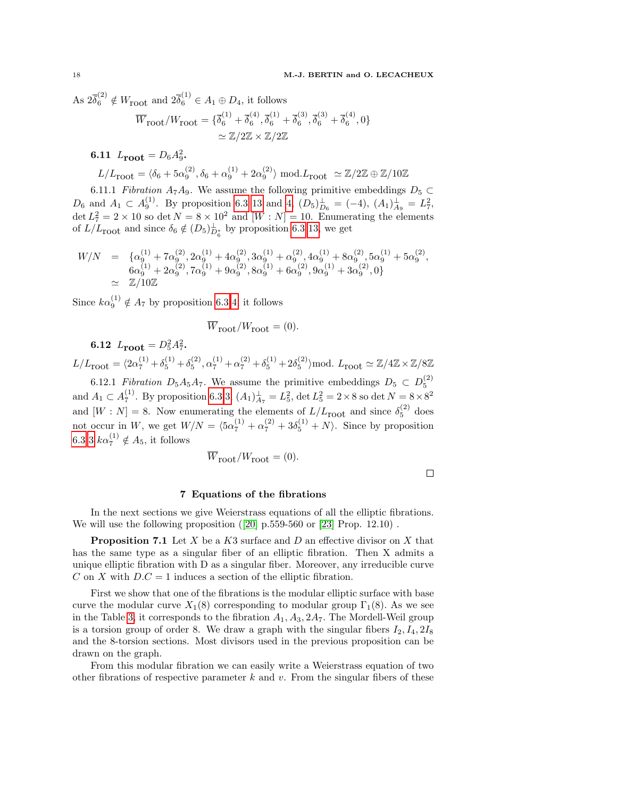As  $2\overline{\delta}_6^{(2)} \notin W_{\text{root}}$  and  $2\overline{\delta}_6^{(1)} \in A_1 \oplus D_4$ , it follows

$$
\overline{W}_{\text{root}}/W_{\text{root}} = \{ \overline{\delta}_6^{(1)} + \overline{\delta}_6^{(4)}, \overline{\delta}_6^{(1)} + \overline{\delta}_6^{(3)}, \overline{\delta}_6^{(3)} + \overline{\delta}_6^{(4)}, 0 \}
$$

$$
\simeq \mathbb{Z}/2\mathbb{Z} \times \mathbb{Z}/2\mathbb{Z}
$$

**6.11**  $L_{\text{root}} = D_6 A_9^2$ .

$$
L/L_{\text{root}} = \langle \delta_6 + 5\alpha_9^{(2)}, \delta_6 + \alpha_9^{(1)} + 2\alpha_9^{(2)} \rangle \text{ mod.} L_{\text{root}} \simeq \mathbb{Z}/2\mathbb{Z} \oplus \mathbb{Z}/10\mathbb{Z}
$$

6.11.1 Fibration A<sub>7</sub>A<sub>9</sub>. We assume the following primitive embeddings  $D_5 \subset$  $D_6$  and  $A_1 \,\subset A_9^{(1)}$ . By proposition [6.3](#page-10-0) [13](#page-11-7) and [4,](#page-11-9)  $(D_5)_{D_6}^{\perp} = (-4)$ ,  $(A_1)_{A_9}^{\perp} = L_7^2$ , det  $L_7^2 = 2 \times 10$  so det  $N = 8 \times 10^2$  and  $[W : N] = 10$ . Enumerating the elements of  $L/L_{\text{root}}$  and since  $\delta_6 \notin (D_5)_{D_6^*}^{\perp}$  by proposition [6.3](#page-10-0) [13,](#page-11-7) we get

$$
W/N = \{ \alpha_9^{(1)} + 7\alpha_9^{(2)}, 2\alpha_9^{(1)} + 4\alpha_9^{(2)}, 3\alpha_9^{(1)} + \alpha_9^{(2)}, 4\alpha_9^{(1)} + 8\alpha_9^{(2)}, 5\alpha_9^{(1)} + 5\alpha_9^{(2)},
$$
  
\n
$$
6\alpha_9^{(1)} + 2\alpha_9^{(2)}, 7\alpha_9^{(1)} + 9\alpha_9^{(2)}, 8\alpha_9^{(1)} + 6\alpha_9^{(2)}, 9\alpha_9^{(1)} + 3\alpha_9^{(2)}, 0 \}
$$
  
\n
$$
\simeq \mathbb{Z}/10\mathbb{Z}
$$

Since  $k\alpha_9^{(1)} \notin A_7$  by proposition [6.3](#page-10-0) [4,](#page-11-9) it follows

$$
\overline{W}_{\text{root}}/W_{\text{root}} = (0).
$$

6.12  $L_{\text{root}} = D_5^2 A_7^2$ .

 $L/L_{\text{root}} = \langle 2\alpha_7^{(1)} + \delta_5^{(1)} + \delta_5^{(2)}, \alpha_7^{(1)} + \alpha_7^{(2)} + \delta_5^{(1)} + 2\delta_5^{(2)}\rangle \text{mod. } L_{\text{root}} \simeq \mathbb{Z}/4\mathbb{Z} \times \mathbb{Z}/8\mathbb{Z}$ 

6.12.1 Fibration  $D_5A_5A_7$ . We assume the primitive embeddings  $D_5 \subset D_5^{(2)}$ and  $A_1 \subset A_7^{(1)}$ . By proposition [6.3](#page-10-0) [3,](#page-11-10)  $(A_1)_{A_7}^{\perp} = L_5^2$ , det  $L_5^2 = 2 \times 8$  so det  $N = 8 \times 8^2$ and  $[W : N] = 8$ . Now enumerating the elements of  $L/L_{\text{root}}$  and since  $\delta_5^{(2)}$  does not occur in W, we get  $W/N = \langle 5\alpha_7^{(1)} + \alpha_7^{(2)} + 3\delta_5^{(1)} + N \rangle$ . Since by proposition [6.3](#page-10-0) [3](#page-11-10)  $k\alpha_7^{(1)} \notin A_5$ , it follows

$$
\overline{W}_{\text{root}}/W_{\text{root}} = (0).
$$

 $\Box$ 

# 7 Equations of the fibrations

In the next sections we give Weierstrass equations of all the elliptic fibrations. Wewill use the following proposition  $(20)$  p.559-560 or  $[23]$  Prop. 12.10).

**Proposition 7.1** Let  $X$  be a  $K3$  surface and  $D$  an effective divisor on  $X$  that has the same type as a singular fiber of an elliptic fibration. Then X admits a unique elliptic fibration with D as a singular fiber. Moreover, any irreducible curve C on X with  $D.C = 1$  induces a section of the elliptic fibration.

First we show that one of the fibrations is the modular elliptic surface with base curve the modular curve  $X_1(8)$  corresponding to modular group  $\Gamma_1(8)$ . As we see in the Table [3,](#page-14-0) it corresponds to the fibration  $A_1, A_3, 2A_7$ . The Mordell-Weil group is a torsion group of order 8. We draw a graph with the singular fibers  $I_2, I_4, 2I_8$ and the 8-torsion sections. Most divisors used in the previous proposition can be drawn on the graph.

From this modular fibration we can easily write a Weierstrass equation of two other fibrations of respective parameter k and v. From the singular fibers of these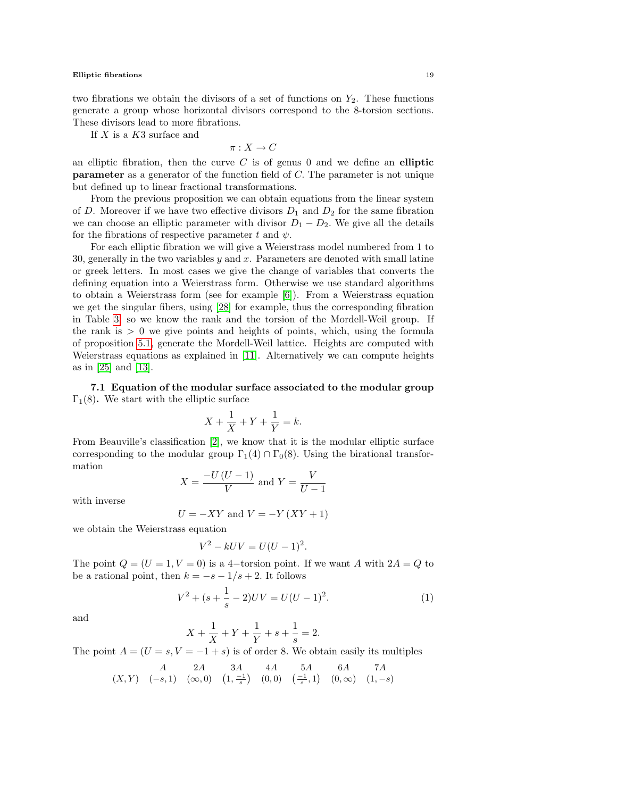### Elliptic fibrations and the set of the set of the set of the set of the set of the set of the set of the set of the set of the set of the set of the set of the set of the set of the set of the set of the set of the set of

two fibrations we obtain the divisors of a set of functions on  $Y_2$ . These functions generate a group whose horizontal divisors correspond to the 8-torsion sections. These divisors lead to more fibrations.

If  $X$  is a  $K3$  surface and

$$
\pi:X\to C
$$

an elliptic fibration, then the curve  $C$  is of genus 0 and we define an elliptic parameter as a generator of the function field of C. The parameter is not unique but defined up to linear fractional transformations.

From the previous proposition we can obtain equations from the linear system of D. Moreover if we have two effective divisors  $D_1$  and  $D_2$  for the same fibration we can choose an elliptic parameter with divisor  $D_1 - D_2$ . We give all the details for the fibrations of respective parameter t and  $\psi$ .

For each elliptic fibration we will give a Weierstrass model numbered from 1 to 30, generally in the two variables  $y$  and  $x$ . Parameters are denoted with small latine or greek letters. In most cases we give the change of variables that converts the defining equation into a Weierstrass form. Otherwise we use standard algorithms to obtain a Weierstrass form (see for example [\[6\]](#page-36-4)). From a Weierstrass equation we get the singular fibers, using [\[28\]](#page-37-20) for example, thus the corresponding fibration in Table [3;](#page-14-0) so we know the rank and the torsion of the Mordell-Weil group. If the rank is  $> 0$  we give points and heights of points, which, using the formula of proposition [5.1,](#page-6-1) generate the Mordell-Weil lattice. Heights are computed with Weierstrass equations as explained in [\[11\]](#page-37-15). Alternatively we can compute heights as in [\[25\]](#page-37-14) and [\[13\]](#page-37-9).

7.1 Equation of the modular surface associated to the modular group  $\Gamma_1(8)$ . We start with the elliptic surface

$$
X + \frac{1}{X} + Y + \frac{1}{Y} = k.
$$

From Beauville's classification [\[2\]](#page-36-5), we know that it is the modular elliptic surface corresponding to the modular group  $\Gamma_1(4) \cap \Gamma_0(8)$ . Using the birational transformation

$$
X = \frac{-U(U-1)}{V}
$$
 and 
$$
Y = \frac{V}{U-1}
$$

with inverse

$$
U = -XY
$$
 and 
$$
V = -Y(XY + 1)
$$

we obtain the Weierstrass equation

$$
V^2 - kUV = U(U - 1)^2.
$$

The point  $Q = (U = 1, V = 0)$  is a 4-torsion point. If we want A with  $2A = Q$  to be a rational point, then  $k = -s - 1/s + 2$ . It follows

$$
V^2 + (s + \frac{1}{s} - 2)UV = U(U - 1)^2.
$$
 (1)

and

$$
X + \frac{1}{X} + Y + \frac{1}{Y} + s + \frac{1}{s} = 2.
$$

The point  $A = (U = s, V = -1 + s)$  is of order 8. We obtain easily its multiples

$$
\begin{array}{ccccc} & A & 2A & 3A & 4A & 5A & 6A & 7A \\ (X,Y) & (-s,1) & (\infty,0) & \left(1,\frac{-1}{s}\right) & (0,0) & \left(\frac{-1}{s},1\right) & (0,\infty) & (1,-s) \end{array}
$$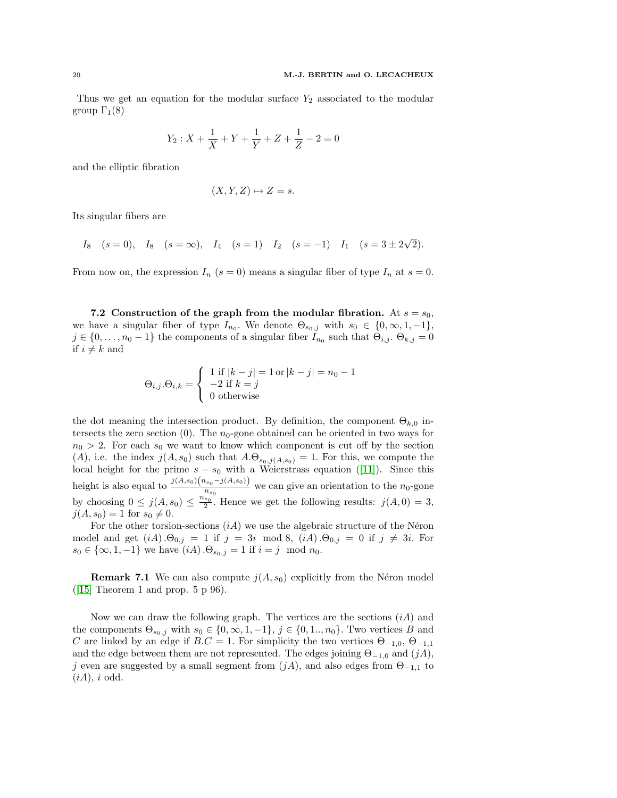Thus we get an equation for the modular surface  $Y_2$  associated to the modular group  $\Gamma_1(8)$ 

$$
Y_2: X + \frac{1}{X} + Y + \frac{1}{Y} + Z + \frac{1}{Z} - 2 = 0
$$

and the elliptic fibration

$$
(X, Y, Z) \mapsto Z = s.
$$

Its singular fibers are

 $I_8$   $(s = 0)$ ,  $I_8$   $(s = \infty)$ ,  $I_4$   $(s = 1)$   $I_2$   $(s = -1)$   $I_1$   $(s = 3 \pm 2)$ √ 2).

From now on, the expression  $I_n$  ( $s = 0$ ) means a singular fiber of type  $I_n$  at  $s = 0$ .

7.2 Construction of the graph from the modular fibration. At  $s = s_0$ , we have a singular fiber of type  $I_{n_0}$ . We denote  $\Theta_{s_0,j}$  with  $s_0 \in \{0,\infty,1,-1\}$ ,  $j \in \{0, \ldots, n_0 - 1\}$  the components of a singular fiber  $I_{n_0}$  such that  $\Theta_{i,j}$ .  $\Theta_{k,j} = 0$ if  $i \neq k$  and

$$
\Theta_{i,j}.\Theta_{i,k} = \begin{cases} 1 \text{ if } |k-j| = 1 \text{ or } |k-j| = n_0 - 1 \\ -2 \text{ if } k = j \\ 0 \text{ otherwise} \end{cases}
$$

the dot meaning the intersection product. By definition, the component  $\Theta_{k,0}$  intersects the zero section  $(0)$ . The  $n_0$ -gone obtained can be oriented in two ways for  $n_0 > 2$ . For each  $s_0$  we want to know which component is cut off by the section (A), i.e. the index  $j(A, s_0)$  such that  $A.\Theta_{s_0,j(A,s_0)} = 1$ . For this, we compute the localheight for the prime  $s - s_0$  with a Weierstrass equation ([\[11\]](#page-37-15)). Since this height is also equal to  $\frac{j(A,s_0)(n_{s_0}-j(A,s_0))}{n_{s_0}}$  we can give an orientation to the  $n_0$ -gone by choosing  $0 \leq j(A, s_0) \leq \frac{n_{s_0}}{2}$ . Hence we get the following results:  $j(A, 0) = 3$ ,  $j(A, s_0) = 1$  for  $s_0 \neq 0$ .

For the other torsion-sections  $(iA)$  we use the algebraic structure of the Néron model and get  $(iA) \cdot \Theta_{0,j} = 1$  if  $j = 3i \mod 8$ ,  $(iA) \cdot \Theta_{0,j} = 0$  if  $j \neq 3i$ . For  $s_0 \in \{\infty, 1, -1\}$  we have  $(iA) \cdot \Theta_{s_0, j} = 1$  if  $i = j \mod n_0$ .

**Remark 7.1** We can also compute  $j(A, s_0)$  explicitly from the Néron model  $(15]$  Theorem 1 and prop. 5 p 96).

Now we can draw the following graph. The vertices are the sections  $(iA)$  and the components  $\Theta_{s_0,j}$  with  $s_0 \in \{0,\infty,1,-1\}$ ,  $j \in \{0,1,..,n_0\}$ . Two vertices B and C are linked by an edge if  $B.C = 1$ . For simplicity the two vertices  $\Theta_{-1,0}, \Theta_{-1,1}$ and the edge between them are not represented. The edges joining  $\Theta_{-1,0}$  and  $(jA)$ , j even are suggested by a small segment from  $(jA)$ , and also edges from  $\Theta_{-1,1}$  to  $(iA), i \text{ odd}.$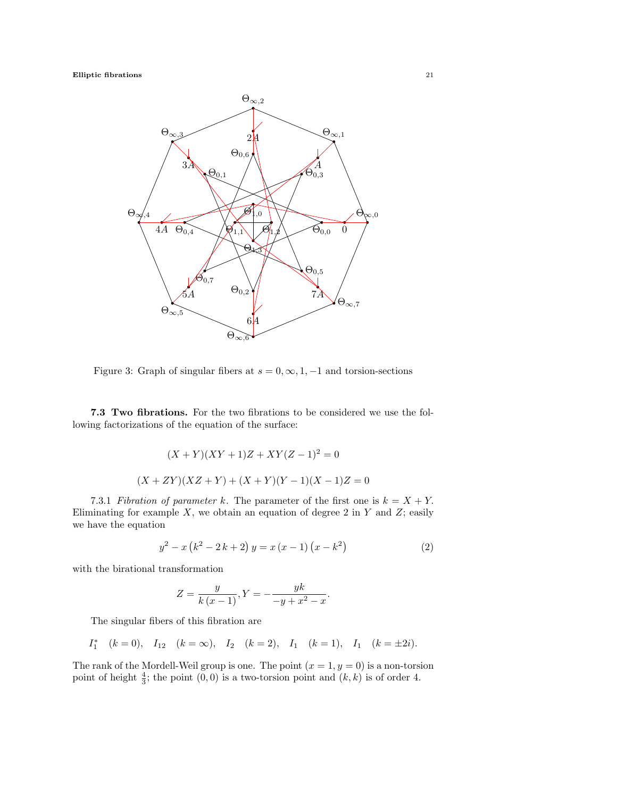

<span id="page-20-0"></span>Figure 3: Graph of singular fibers at  $s = 0, \infty, 1, -1$  and torsion-sections

7.3 Two fibrations. For the two fibrations to be considered we use the following factorizations of the equation of the surface:

$$
(X + Y)(XY + 1)Z + XY(Z - 1)2 = 0
$$
  

$$
(X + ZY)(XZ + Y) + (X + Y)(Y - 1)(X - 1)Z = 0
$$

7.3.1 Fibration of parameter k. The parameter of the first one is  $k = X + Y$ . Eliminating for example  $X$ , we obtain an equation of degree 2 in  $Y$  and  $Z$ ; easily we have the equation

$$
y^{2} - x(k^{2} - 2k + 2) y = x(x - 1)(x - k^{2})
$$
\n(2)

with the birational transformation

$$
Z = \frac{y}{k(x-1)}, Y = -\frac{yk}{-y + x^2 - x}.
$$

The singular fibers of this fibration are

$$
I_1^*
$$
  $(k = 0)$ ,  $I_{12}$   $(k = \infty)$ ,  $I_2$   $(k = 2)$ ,  $I_1$   $(k = 1)$ ,  $I_1$   $(k = \pm 2i)$ .

The rank of the Mordell-Weil group is one. The point  $(x = 1, y = 0)$  is a non-torsion point of height  $\frac{4}{3}$ ; the point  $(0, 0)$  is a two-torsion point and  $(k, k)$  is of order 4.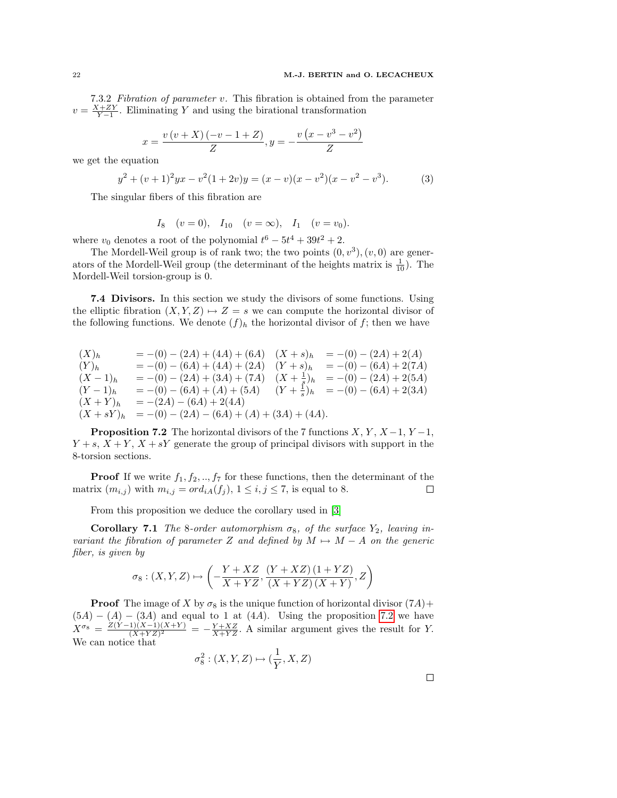7.3.2 Fibration of parameter v. This fibration is obtained from the parameter  $v = \frac{X+ZY}{Y-1}$ . Eliminating Y and using the birational transformation

$$
x = \frac{v(v+X)(-v-1+Z)}{Z}, y = -\frac{v(x-v^3-v^2)}{Z}
$$

we get the equation

$$
y^{2} + (v+1)^{2}yx - v^{2}(1+2v)y = (x-v)(x-v^{2})(x-v^{2}-v^{3}).
$$
 (3)

The singular fibers of this fibration are

$$
I_8
$$
  $(v = 0)$ ,  $I_{10}$   $(v = \infty)$ ,  $I_1$   $(v = v_0)$ .

where  $v_0$  denotes a root of the polynomial  $t^6 - 5t^4 + 39t^2 + 2$ .

The Mordell-Weil group is of rank two; the two points  $(0, v^3), (v, 0)$  are generators of the Mordell-Weil group (the determinant of the heights matrix is  $\frac{1}{10}$ ). The Mordell-Weil torsion-group is 0.

7.4 Divisors. In this section we study the divisors of some functions. Using the elliptic fibration  $(X, Y, Z) \rightarrow Z = s$  we can compute the horizontal divisor of the following functions. We denote  $(f)_h$  the horizontal divisor of f; then we have

 $(X)_h = -(0) - (2A) + (4A) + (6A) (X + s)_h = -(0) - (2A) + 2(A)$  $(Y)_h$  = -(0) – (6A) + (4A) + (2A)  $(Y + s)_h$  = -(0) – (6A) + 2(7A)  $(X-1)_h = -(0) - (2A) + (3A) + (7A)$   $(X+\frac{1}{s})_h = -(0) - (2A) + 2(5A)$  $(Y-1)$ <sub>h</sub> = -(0) – (6A) + (A) + (5A)  $(Y+\frac{1}{s})$ <sub>h</sub> = -(0) – (6A) + 2(3A)  $(X + Y)_h = -(2A) - (6A) + 2(4A)$  $(X + sY)_h = -(0) - (2A) - (6A) + (A) + (3A) + (4A).$ 

<span id="page-21-0"></span>**Proposition 7.2** The horizontal divisors of the 7 functions  $X, Y, X-1, Y-1$ ,  $Y + s$ ,  $X + Y$ ,  $X + sY$  generate the group of principal divisors with support in the 8-torsion sections.

**Proof** If we write  $f_1, f_2, \ldots, f_7$  for these functions, then the determinant of the matrix  $(m_{i,j})$  with  $m_{i,j} = ord_{iA}(f_j), 1 \leq i, j \leq 7$ , is equal to 8.  $\Box$ 

From this proposition we deduce the corollary used in [\[3\]](#page-36-0)

**Corollary 7.1** The 8-order automorphism  $\sigma_8$ , of the surface  $Y_2$ , leaving invariant the fibration of parameter Z and defined by  $M \mapsto M - A$  on the generic fiber, is given by

$$
\sigma_{8}:\left(X,Y,Z\right)\mapsto\left(-\frac{Y+XZ}{X+YZ},\frac{\left(Y+XZ\right)\left(1+YZ\right)}{\left(X+YZ\right)\left(X+Y\right)},Z\right)
$$

**Proof** The image of X by  $\sigma_8$  is the unique function of horizontal divisor  $(7A)$ +  $(5A) - (A) - (3A)$  and equal to 1 at  $(4A)$ . Using the proposition [7.2](#page-21-0) we have  $X^{\sigma_8} = \frac{Z(Y-1)(X-1)(X+Y)}{(X+YZ)^2}$  $\frac{1}{(X+YZ)^2} = -\frac{Y+XZ}{X+YZ}$ . A similar argument gives the result for Y. We can notice that

$$
\sigma_8^2: (X, Y, Z) \mapsto (\frac{1}{Y}, X, Z)
$$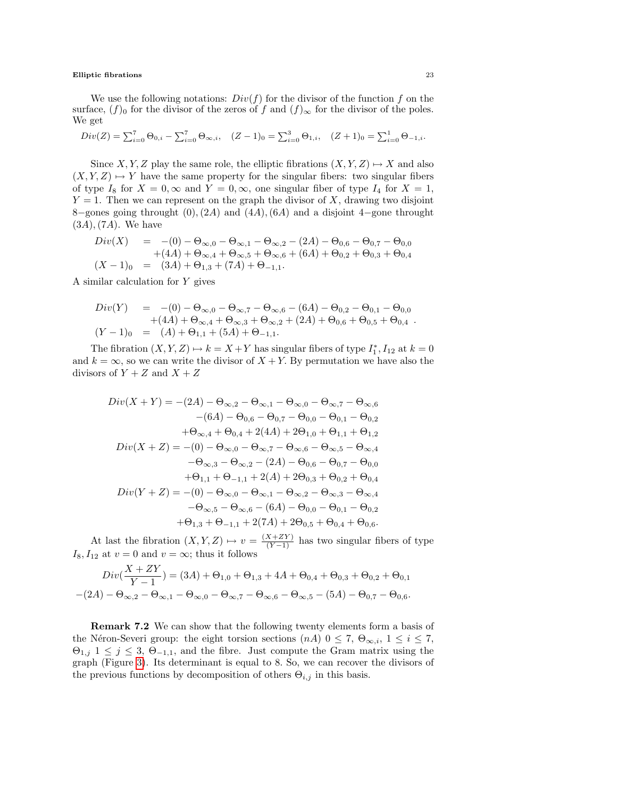We use the following notations:  $Div(f)$  for the divisor of the function f on the surface,  $(f)_0$  for the divisor of the zeros of f and  $(f)_{\infty}$  for the divisor of the poles. We get

$$
Div(Z) = \sum_{i=0}^{7} \Theta_{0,i} - \sum_{i=0}^{7} \Theta_{\infty,i}, \quad (Z-1)_0 = \sum_{i=0}^{3} \Theta_{1,i}, \quad (Z+1)_0 = \sum_{i=0}^{1} \Theta_{-1,i}.
$$

Since X, Y, Z play the same role, the elliptic fibrations  $(X, Y, Z) \mapsto X$  and also  $(X, Y, Z) \rightarrow Y$  have the same property for the singular fibers: two singular fibers of type  $I_8$  for  $X = 0, \infty$  and  $Y = 0, \infty$ , one singular fiber of type  $I_4$  for  $X = 1$ ,  $Y = 1$ . Then we can represent on the graph the divisor of X, drawing two disjoint 8–gones going throught  $(0), (2A)$  and  $(4A), (6A)$  and a disjoint 4–gone throught  $(3A)$ ,  $(7A)$ . We have

$$
Div(X) = -(0) - \Theta_{\infty,0} - \Theta_{\infty,1} - \Theta_{\infty,2} - (2A) - \Theta_{0,6} - \Theta_{0,7} - \Theta_{0,0} + (4A) + \Theta_{\infty,4} + \Theta_{\infty,5} + \Theta_{\infty,6} + (6A) + \Theta_{0,2} + \Theta_{0,3} + \Theta_{0,4} (X - 1)_0 = (3A) + \Theta_{1,3} + (7A) + \Theta_{-1,1}.
$$

A similar calculation for Y gives

$$
Div(Y) = -(0) - \Theta_{\infty,0} - \Theta_{\infty,7} - \Theta_{\infty,6} - (6A) - \Theta_{0,2} - \Theta_{0,1} - \Theta_{0,0} + (4A) + \Theta_{\infty,4} + \Theta_{\infty,3} + \Theta_{\infty,2} + (2A) + \Theta_{0,6} + \Theta_{0,5} + \Theta_{0,4} (Y-1)_0 = (A) + \Theta_{1,1} + (5A) + \Theta_{-1,1}.
$$

The fibration  $(X, Y, Z) \mapsto k = X + Y$  has singular fibers of type  $I_1^*, I_{12}$  at  $k = 0$ and  $k = \infty$ , so we can write the divisor of  $X + Y$ . By permutation we have also the divisors of  $Y + Z$  and  $X + Z$ 

$$
Div(X + Y) = -(2A) - \Theta_{\infty,2} - \Theta_{\infty,1} - \Theta_{\infty,0} - \Theta_{\infty,7} - \Theta_{\infty,6}
$$
  
\n
$$
-(6A) - \Theta_{0,6} - \Theta_{0,7} - \Theta_{0,0} - \Theta_{0,1} - \Theta_{0,2}
$$
  
\n
$$
+ \Theta_{\infty,4} + \Theta_{0,4} + 2(4A) + 2\Theta_{1,0} + \Theta_{1,1} + \Theta_{1,2}
$$
  
\n
$$
Div(X + Z) = -(0) - \Theta_{\infty,0} - \Theta_{\infty,7} - \Theta_{\infty,6} - \Theta_{\infty,5} - \Theta_{\infty,4}
$$
  
\n
$$
- \Theta_{\infty,3} - \Theta_{\infty,2} - (2A) - \Theta_{0,6} - \Theta_{0,7} - \Theta_{0,0}
$$
  
\n
$$
+ \Theta_{1,1} + \Theta_{-1,1} + 2(A) + 2\Theta_{0,3} + \Theta_{0,2} + \Theta_{0,4}
$$
  
\n
$$
Div(Y + Z) = -(0) - \Theta_{\infty,0} - \Theta_{\infty,1} - \Theta_{\infty,2} - \Theta_{\infty,3} - \Theta_{\infty,4}
$$
  
\n
$$
- \Theta_{\infty,5} - \Theta_{\infty,6} - (6A) - \Theta_{0,0} - \Theta_{0,1} - \Theta_{0,2}
$$
  
\n
$$
+ \Theta_{1,3} + \Theta_{-1,1} + 2(7A) + 2\Theta_{0,5} + \Theta_{0,4} + \Theta_{0,6}.
$$

At last the fibration  $(X, Y, Z) \mapsto v = \frac{(X+ZY)}{(Y-1)}$  has two singular fibers of type  $I_8, I_{12}$  at  $v = 0$  and  $v = \infty$ ; thus it follows

$$
Div(\frac{X + ZY}{Y - 1}) = (3A) + \Theta_{1,0} + \Theta_{1,3} + 4A + \Theta_{0,4} + \Theta_{0,3} + \Theta_{0,2} + \Theta_{0,1}
$$

$$
-(2A) - \Theta_{\infty,2} - \Theta_{\infty,1} - \Theta_{\infty,0} - \Theta_{\infty,7} - \Theta_{\infty,6} - \Theta_{\infty,5} - (5A) - \Theta_{0,7} - \Theta_{0,6}.
$$

Remark 7.2 We can show that the following twenty elements form a basis of the Néron-Severi group: the eight torsion sections  $(nA)$   $0 \le 7$ ,  $\Theta_{\infty,i}$ ,  $1 \le i \le 7$ ,  $\Theta_{1,j}$  1  $\leq j \leq 3$ ,  $\Theta_{-1,1}$ , and the fibre. Just compute the Gram matrix using the graph (Figure [3\)](#page-20-0). Its determinant is equal to 8. So, we can recover the divisors of the previous functions by decomposition of others  $\Theta_{i,j}$  in this basis.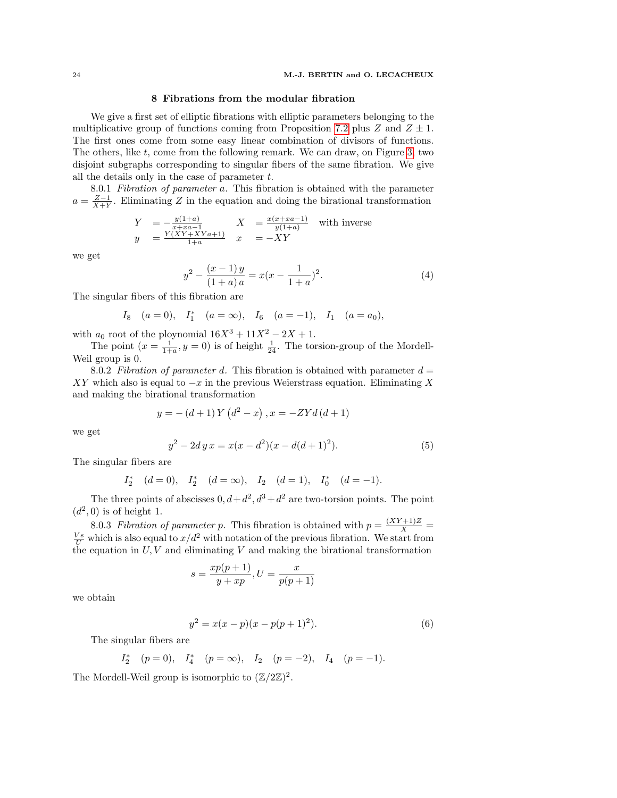# 8 Fibrations from the modular fibration

We give a first set of elliptic fibrations with elliptic parameters belonging to the multiplicative group of functions coming from Proposition [7.2](#page-21-0) plus Z and  $Z \pm 1$ . The first ones come from some easy linear combination of divisors of functions. The others, like  $t$ , come from the following remark. We can draw, on Figure [3,](#page-20-0) two disjoint subgraphs corresponding to singular fibers of the same fibration. We give all the details only in the case of parameter  $t$ .

8.0.1 Fibration of parameter a. This fibration is obtained with the parameter  $a = \frac{Z-1}{X+Y}$ . Eliminating Z in the equation and doing the birational transformation

$$
Y = -\frac{y(1+a)}{x+xa-1}
$$
  
\n
$$
y = \frac{Y(XY+XYa+1)}{1+a}
$$
  $X = \frac{x(x+xa-1)}{y(1+a)}$  with inverse

we get

$$
y^{2} - \frac{(x-1)y}{(1+a)a} = x(x - \frac{1}{1+a})^{2}.
$$
 (4)

The singular fibers of this fibration are

$$
I_8
$$
  $(a = 0)$ ,  $I_1^*$   $(a = \infty)$ ,  $I_6$   $(a = -1)$ ,  $I_1$   $(a = a_0)$ ,

with  $a_0$  root of the ploynomial  $16X^3 + 11X^2 - 2X + 1$ .

The point  $(x = \frac{1}{1+a}, y = 0)$  is of height  $\frac{1}{24}$ . The torsion-group of the Mordell-Weil group is 0.

8.0.2 Fibration of parameter d. This fibration is obtained with parameter  $d =$ XY which also is equal to  $-x$  in the previous Weierstrass equation. Eliminating X and making the birational transformation

$$
y = -(d+1) Y (d^{2} - x), x = -ZYd (d + 1)
$$

we get

$$
y^{2} - 2dy x = x(x - d^{2})(x - d(d+1)^{2}).
$$
\n(5)

The singular fibers are

$$
I_2^*
$$
  $(d = 0)$ ,  $I_2^*$   $(d = \infty)$ ,  $I_2$   $(d = 1)$ ,  $I_0^*$   $(d = -1)$ .

The three points of abscisses  $0, d+d^2, d^3+d^2$  are two-torsion points. The point  $(d^2, 0)$  is of height 1.

8.0.3 Fibration of parameter p. This fibration is obtained with  $p = \frac{(XY+1)Z}{X}$  $\frac{V_s}{U}$  which is also equal to  $x/d^2$  with notation of the previous fibration. We start from the equation in  $U, V$  and eliminating V and making the birational transformation

$$
s = \frac{xp(p+1)}{y+xp}, U = \frac{x}{p(p+1)}
$$

we obtain

<span id="page-23-0"></span>
$$
y^2 = x(x - p)(x - p(p+1)^2).
$$
 (6)

The singular fibers are

 $I_2^*$ 

$$
(p = 0),
$$
  $I_4^*$   $(p = \infty),$   $I_2$   $(p = -2),$   $I_4$   $(p = -1).$ 

The Mordell-Weil group is isomorphic to  $(\mathbb{Z}/2\mathbb{Z})^2$ .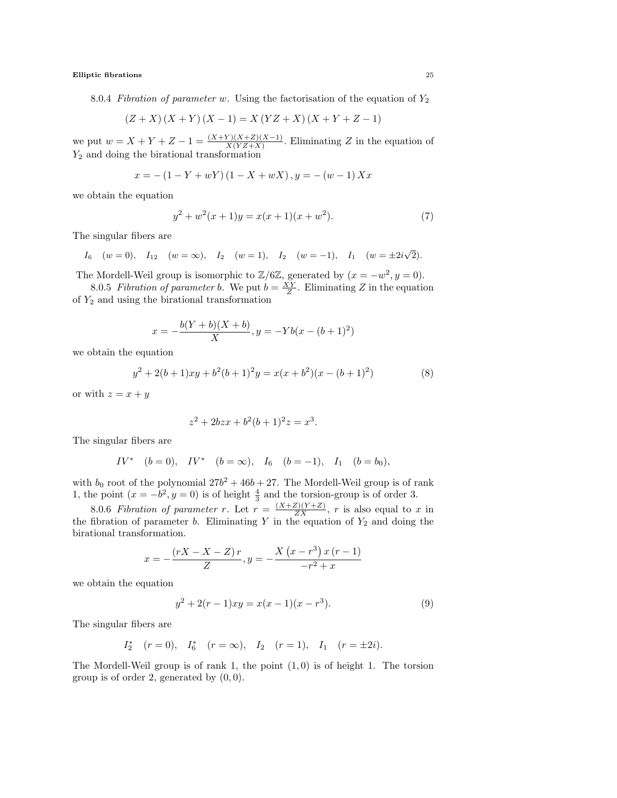8.0.4 Fibration of parameter w. Using the factorisation of the equation of  $Y_2$ 

$$
(Z+X)(X+Y)(X-1) = X (YZ+X)(X+Y+Z-1)
$$

we put  $w = X + Y + Z - 1 = \frac{(X+Y)(X+Z)(X-1)}{X(YZ+X)}$ . Eliminating Z in the equation of  $Y_2$  and doing the birational transformation

$$
x = -(1 - Y + wY)(1 - X + wX), y = -(w - 1)Xx
$$

we obtain the equation

$$
y^{2} + w^{2}(x+1)y = x(x+1)(x+w^{2}).
$$
\n(7)

The singular fibers are

$$
I_6
$$
 (w = 0),  $I_{12}$  (w =  $\infty$ ),  $I_2$  (w = 1),  $I_2$  (w = -1),  $I_1$  (w =  $\pm 2i\sqrt{2}$ ).

The Mordell-Weil group is isomorphic to  $\mathbb{Z}/6\mathbb{Z}$ , generated by  $(x = -w^2, y = 0)$ .

8.0.5 Fibration of parameter b. We put  $b = \frac{XY}{Z}$ . Eliminating Z in the equation of  $Y_2$  and using the birational transformation

$$
x = -\frac{b(Y+b)(X+b)}{X}, y = -Yb(x - (b+1)^2)
$$

we obtain the equation

$$
y^{2} + 2(b+1)xy + b^{2}(b+1)^{2}y = x(x+b^{2})(x-(b+1)^{2})
$$
\n(8)

or with  $z = x + y$ 

$$
z^2 + 2bzx + b^2(b+1)^2z = x^3.
$$

The singular fibers are

$$
IV^* \quad (b = 0), \quad IV^* \quad (b = \infty), \quad I_6 \quad (b = -1), \quad I_1 \quad (b = b_0),
$$

with  $b_0$  root of the polynomial  $27b^2 + 46b + 27$ . The Mordell-Weil group is of rank 1, the point  $(x = -b^2, y = 0)$  is of height  $\frac{4}{3}$  and the torsion-group is of order 3.

8.0.6 Fibration of parameter r. Let  $r = \frac{(X+Z)(Y+Z)}{ZX}$ , r is also equal to x in the fibration of parameter b. Eliminating Y in the equation of  $Y_2$  and doing the birational transformation.

$$
x = -\frac{(rX - X - Z) r}{Z}, y = -\frac{X (x - r^{3}) x (r - 1)}{-r^{2} + x}
$$

we obtain the equation

<span id="page-24-0"></span>
$$
y^2 + 2(r - 1)xy = x(x - 1)(x - r^3).
$$
 (9)

The singular fibers are

$$
I_2^*
$$
  $(r = 0)$ ,  $I_6^*$   $(r = \infty)$ ,  $I_2$   $(r = 1)$ ,  $I_1$   $(r = \pm 2i)$ .

The Mordell-Weil group is of rank 1, the point  $(1, 0)$  is of height 1. The torsion group is of order 2, generated by  $(0, 0)$ .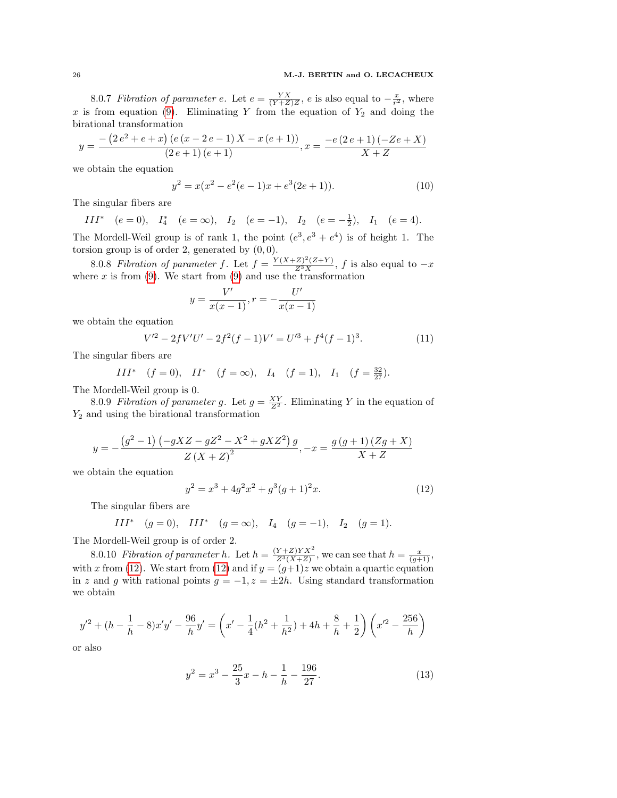8.0.7 Fibration of parameter e. Let  $e = \frac{YX}{(Y+Z)Z}$ , e is also equal to  $-\frac{x}{r^2}$ , where x is from equation [\(9\)](#page-24-0). Eliminating Y from the equation of  $Y_2$  and doing the birational transformation

$$
y = \frac{-\left(2e^2 + e + x\right)\left(e\left(x - 2e - 1\right)X - x\left(e + 1\right)\right)}{\left(2e + 1\right)\left(e + 1\right)}, x = \frac{-e\left(2e + 1\right)\left(-2e + X\right)}{X + Z}
$$

we obtain the equation

$$
y^2 = x(x^2 - e^2(e-1)x + e^3(2e+1)).
$$
\n(10)

The singular fibers are

III<sup>\*</sup>  $(e = 0)$ ,  $I_4^*$   $(e = \infty)$ ,  $I_2$   $(e = -1)$ ,  $I_2$   $(e = -\frac{1}{2})$ ,  $I_1$   $(e = 4)$ .

The Mordell-Weil group is of rank 1, the point  $(e^3, e^3 + e^4)$  is of height 1. The torsion group is of order 2, generated by  $(0, 0)$ .

8.0.8 Fibration of parameter f. Let  $f = \frac{Y(X+Z)^2(Z+Y)}{Z^3X}$ , f is also equal to  $-x$ where  $x$  is from [\(9\)](#page-24-0). We start from (9) and use the transformation

$$
y = \frac{V'}{x(x-1)}, r = -\frac{U'}{x(x-1)}
$$

we obtain the equation

<span id="page-25-2"></span>
$$
V'^{2} - 2fV'U' - 2f^{2}(f - 1)V' = U'^{3} + f^{4}(f - 1)^{3}.
$$
 (11)

The singular fibers are

$$
III^* \quad (f = 0), \quad II^* \quad (f = \infty), \quad I_4 \quad (f = 1), \quad I_1 \quad (f = \frac{32}{27}).
$$

The Mordell-Weil group is 0.

8.0.9 Fibration of parameter g. Let  $g = \frac{XY}{Z^2}$ . Eliminating Y in the equation of  $Y_2$  and using the birational transformation

$$
y = -\frac{(g^{2} - 1)(-gXZ - gZ^{2} - X^{2} + gXZ^{2})g}{Z(X + Z)^{2}}, -x = \frac{g(g + 1)(Zg + X)}{X + Z}
$$

we obtain the equation

<span id="page-25-0"></span>
$$
y^2 = x^3 + 4g^2x^2 + g^3(g+1)^2x.
$$
 (12)

The singular fibers are

$$
III^*
$$
  $(g = 0)$ ,  $III^*$   $(g = \infty)$ ,  $I_4$   $(g = -1)$ ,  $I_2$   $(g = 1)$ .

The Mordell-Weil group is of order 2.

8.0.10 Fibration of parameter h. Let  $h = \frac{(Y+Z)YX^2}{Z^3(X+Z)}$  $\frac{Y+Z)YX^2}{Z^3(X+Z)}$ , we can see that  $h=\frac{x}{(g+1)}$ , with x from [\(12\)](#page-25-0). We start from (12) and if  $y = (g+1)z$  we obtain a quartic equation in z and g with rational points  $g = -1$ ,  $z = \pm 2h$ . Using standard transformation we obtain

$$
y'^2 + (h - \frac{1}{h} - 8)x'y' - \frac{96}{h}y' = \left(x' - \frac{1}{4}(h^2 + \frac{1}{h^2}) + 4h + \frac{8}{h} + \frac{1}{2}\right)\left(x'^2 - \frac{256}{h}\right)
$$

or also

<span id="page-25-1"></span>
$$
y^2 = x^3 - \frac{25}{3}x - h - \frac{1}{h} - \frac{196}{27}.
$$
 (13)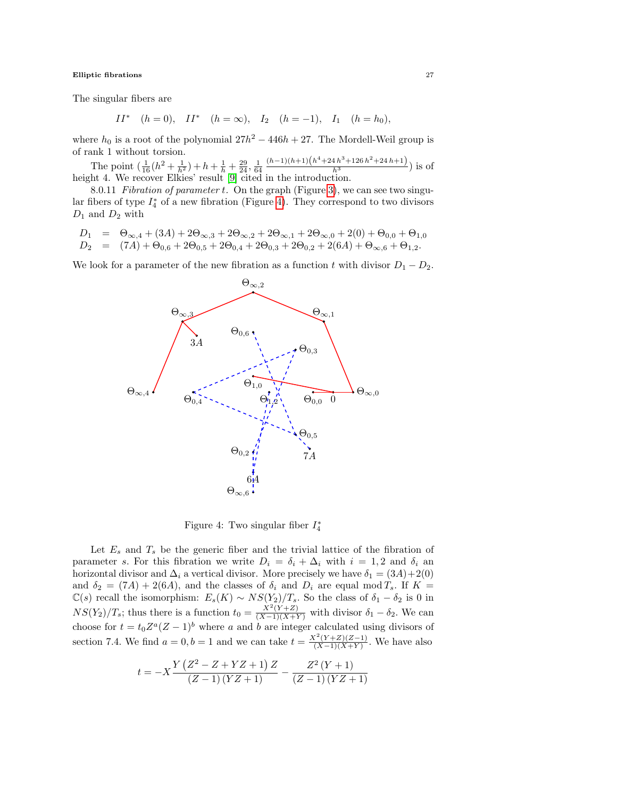The singular fibers are

$$
II^* \quad (h=0), \quad II^* \quad (h=\infty), \quad I_2 \quad (h=-1), \quad I_1 \quad (h=h_0),
$$

where  $h_0$  is a root of the polynomial  $27h^2 - 446h + 27$ . The Mordell-Weil group is of rank 1 without torsion.

The point  $\left(\frac{1}{16}(h^2 + \frac{1}{h^2}) + h + \frac{1}{h} + \frac{29}{24}, \frac{1}{64}\right)$  $\frac{(h-1)(h+1)(h+24h+3+126h^2+24h+1)}{h^3}$ ) is of height 4. We recover Elkies' result [\[9\]](#page-37-3) cited in the introduction.

8.0.11 Fibration of parameter t. On the graph (Figure [3\)](#page-20-0), we can see two singular fibers of type  $I_4^*$  of a new fibration (Figure [4\)](#page-26-0). They correspond to two divisors  $D_1$  and  $D_2$  with

$$
D_1 = \Theta_{\infty,4} + (3A) + 2\Theta_{\infty,3} + 2\Theta_{\infty,2} + 2\Theta_{\infty,1} + 2\Theta_{\infty,0} + 2(0) + \Theta_{0,0} + \Theta_{1,0}
$$
  
\n
$$
D_2 = (7A) + \Theta_{0,6} + 2\Theta_{0,5} + 2\Theta_{0,4} + 2\Theta_{0,3} + 2\Theta_{0,2} + 2(6A) + \Theta_{\infty,6} + \Theta_{1,2}.
$$

We look for a parameter of the new fibration as a function t with divisor  $D_1 - D_2$ .



<span id="page-26-0"></span>Figure 4: Two singular fiber  $I_4^*$ 

Let  $E_s$  and  $T_s$  be the generic fiber and the trivial lattice of the fibration of parameter s. For this fibration we write  $D_i = \delta_i + \Delta_i$  with  $i = 1, 2$  and  $\delta_i$  and horizontal divisor and  $\Delta_i$  a vertical divisor. More precisely we have  $\delta_1 = (3A) + 2(0)$ and  $\delta_2 = (7A) + 2(6A)$ , and the classes of  $\delta_i$  and  $D_i$  are equal mod  $T_s$ . If  $K =$  $\mathbb{C}(s)$  recall the isomorphism:  $E_s(K) \sim NS(Y_2)/T_s$ . So the class of  $\delta_1 - \delta_2$  is 0 in  $NS(Y_2)/T_s$ ; thus there is a function  $t_0 = \frac{X^2(Y+Z)}{(X-1)(X+Y)}$  with divisor  $\delta_1 - \delta_2$ . We can choose for  $t = t_0 Z^a (Z - 1)^b$  where a and b are integer calculated using divisors of section 7.4. We find  $a = 0, b = 1$  and we can take  $t = \frac{X^2(Y+Z)(Z-1)}{(X-1)(X+Y)}$  $\frac{(Y+Z)(Z-1)}{(X-1)(X+Y)}$ . We have also

$$
t = -X \frac{Y (Z^2 - Z + YZ + 1) Z}{(Z - 1) (YZ + 1)} - \frac{Z^2 (Y + 1)}{(Z - 1) (YZ + 1)}
$$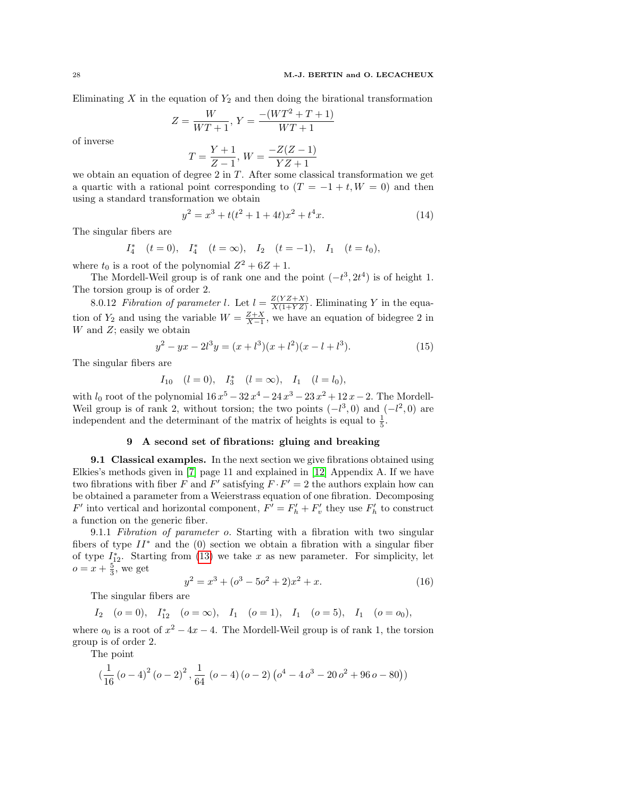Eliminating  $X$  in the equation of  $Y_2$  and then doing the birational transformation

$$
Z = \frac{W}{WT+1}, Y = \frac{-(WT^2 + T + 1)}{WT+1}
$$

of inverse

$$
T = \frac{Y+1}{Z-1}, \, W = \frac{-Z(Z-1)}{YZ+1}
$$

we obtain an equation of degree 2 in  $T$ . After some classical transformation we get a quartic with a rational point corresponding to  $(T = -1 + t, W = 0)$  and then using a standard transformation we obtain

<span id="page-27-0"></span>
$$
y^2 = x^3 + t(t^2 + 1 + 4t)x^2 + t^4x.
$$
 (14)

The singular fibers are

$$
I_4^*
$$
  $(t = 0)$ ,  $I_4^*$   $(t = \infty)$ ,  $I_2$   $(t = -1)$ ,  $I_1$   $(t = t_0)$ ,

where  $t_0$  is a root of the polynomial  $Z^2 + 6Z + 1$ .

The Mordell-Weil group is of rank one and the point  $(-t^3, 2t^4)$  is of height 1. The torsion group is of order 2.

8.0.12 Fibration of parameter l. Let  $l = \frac{Z(YZ+X)}{X(1+YZ)}$  $\frac{Z(YZ+X)}{X(1+YZ)}$ . Eliminating Y in the equation of  $Y_2$  and using the variable  $W = \frac{Z+X}{X-1}$ , we have an equation of bidegree 2 in  $W$  and  $Z$ ; easily we obtain

$$
y^{2} - yx - 2l^{3}y = (x + l^{3})(x + l^{2})(x - l + l^{3}).
$$
\n(15)

The singular fibers are

 $I_{10}$   $(l = 0), I_3^*$   $(l = \infty), I_1$   $(l = l_0),$ 

with  $l_0$  root of the polynomial  $16x^5 - 32x^4 - 24x^3 - 23x^2 + 12x - 2$ . The Mordell-Weil group is of rank 2, without torsion; the two points  $(-l^3, 0)$  and  $(-l^2, 0)$  are independent and the determinant of the matrix of heights is equal to  $\frac{1}{5}$ .

# 9 A second set of fibrations: gluing and breaking

9.1 Classical examples. In the next section we give fibrations obtained using Elkies's methods given in [\[7\]](#page-36-6) page 11 and explained in [\[12\]](#page-37-21) Appendix A. If we have two fibrations with fiber F and F' satisfying  $F \cdot F' = 2$  the authors explain how can be obtained a parameter from a Weierstrass equation of one fibration. Decomposing  $F'$  into vertical and horizontal component,  $F' = F'_h + F'_v$  they use  $F'_h$  to construct a function on the generic fiber.

9.1.1 Fibration of parameter o. Starting with a fibration with two singular fibers of type  $II^*$  and the (0) section we obtain a fibration with a singular fiber of type  $I_{12}^*$ . Starting from [\(13\)](#page-25-1) we take x as new parameter. For simplicity, let  $o = x + \frac{5}{3}$ , we get

<span id="page-27-1"></span>
$$
y^2 = x^3 + (o^3 - 5o^2 + 2)x^2 + x.
$$
 (16)

The singular fibers are

$$
I_2
$$
 (o = 0),  $I_{12}^*$  (o =  $\infty$ ),  $I_1$  (o = 1),  $I_1$  (o = 5),  $I_1$  (o =  $o_0$ ),

where  $o_0$  is a root of  $x^2 - 4x - 4$ . The Mordell-Weil group is of rank 1, the torsion group is of order 2.

The point

$$
\left(\frac{1}{16} \left(a-4\right)^2 \left(a-2\right)^2, \frac{1}{64} \left(a-4\right) \left(a-2\right) \left(a^4-4 a^3-20 a^2+96 a-80\right)\right)
$$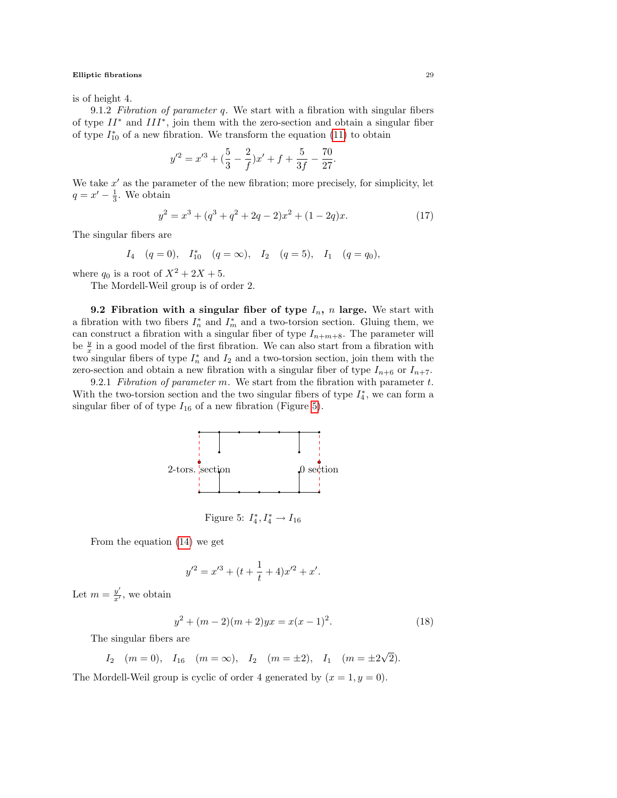is of height 4.

9.1.2 Fibration of parameter  $q$ . We start with a fibration with singular fibers of type  $II^*$  and  $III^*$ , join them with the zero-section and obtain a singular fiber of type  $I_{10}^*$  of a new fibration. We transform the equation [\(11\)](#page-25-2) to obtain

$$
y'^2 = x'^3 + (\frac{5}{3} - \frac{2}{f})x' + f + \frac{5}{3f} - \frac{70}{27}
$$

We take  $x'$  as the parameter of the new fibration; more precisely, for simplicity, let  $q = x' - \frac{1}{3}$ . We obtain

$$
y^{2} = x^{3} + (q^{3} + q^{2} + 2q - 2)x^{2} + (1 - 2q)x.
$$
 (17)

.

The singular fibers are

$$
I_4
$$
  $(q = 0)$ ,  $I_{10}^*$   $(q = \infty)$ ,  $I_2$   $(q = 5)$ ,  $I_1$   $(q = q_0)$ ,

where  $q_0$  is a root of  $X^2 + 2X + 5$ .

The Mordell-Weil group is of order 2.

9.2 Fibration with a singular fiber of type  $I_n$ , n large. We start with a fibration with two fibers  $I_n^*$  and  $I_m^*$  and a two-torsion section. Gluing them, we can construct a fibration with a singular fiber of type  $I_{n+m+8}$ . The parameter will be  $\frac{y}{x}$  in a good model of the first fibration. We can also start from a fibration with two singular fibers of type  $I_n^*$  and  $I_2$  and a two-torsion section, join them with the zero-section and obtain a new fibration with a singular fiber of type  $I_{n+6}$  or  $I_{n+7}$ .

9.2.1 Fibration of parameter  $m$ . We start from the fibration with parameter  $t$ . With the two-torsion section and the two singular fibers of type  $I_4^*$ , we can form a singular fiber of of type  $I_{16}$  of a new fibration (Figure [5\)](#page-28-0).



<span id="page-28-0"></span>Figure 5:  $I_4^*, I_4^* \to I_{16}$ 

From the equation [\(14\)](#page-27-0) we get

$$
y'^2 = x'^3 + (t + \frac{1}{t} + 4)x'^2 + x'.
$$

Let  $m=\frac{y'}{x'}$  $\frac{y}{x'}$ , we obtain

$$
y^{2} + (m - 2)(m + 2)yx = x(x - 1)^{2}.
$$
 (18)

The singular fibers are

$$
I_2
$$
  $(m = 0)$ ,  $I_{16}$   $(m = \infty)$ ,  $I_2$   $(m = \pm 2)$ ,  $I_1$   $(m = \pm 2\sqrt{2})$ .

The Mordell-Weil group is cyclic of order 4 generated by  $(x = 1, y = 0)$ .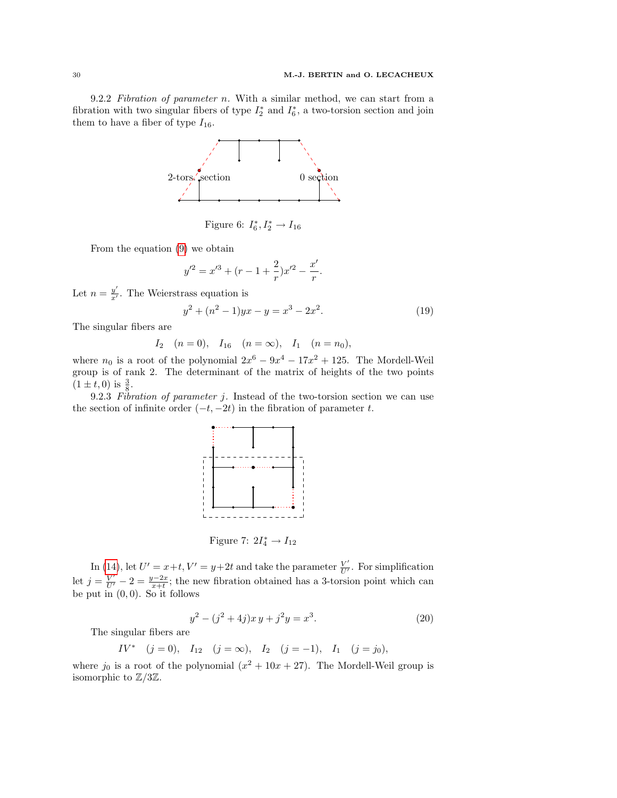9.2.2 Fibration of parameter n. With a similar method, we can start from a fibration with two singular fibers of type  $I_2^*$  and  $I_6^*$ , a two-torsion section and join them to have a fiber of type  $I_{16}$ .



Figure 6:  $I_6^*, I_2^* \to I_{16}$ 

From the equation [\(9\)](#page-24-0) we obtain

$$
y'^2 = x'^3 + (r - 1 + \frac{2}{r})x'^2 - \frac{x'}{r}.
$$

Let  $n=\frac{y'}{x'}$  $\frac{y}{x'}$ . The Weierstrass equation is

 $\iota$ 

$$
y^2 + (n^2 - 1)yx - y = x^3 - 2x^2.
$$
 (19)

The singular fibers are

$$
I_2
$$
  $(n = 0)$ ,  $I_{16}$   $(n = \infty)$ ,  $I_1$   $(n = n_0)$ ,

where  $n_0$  is a root of the polynomial  $2x^6 - 9x^4 - 17x^2 + 125$ . The Mordell-Weil group is of rank 2. The determinant of the matrix of heights of the two points  $(1 \pm t, 0)$  is  $\frac{3}{8}$ .

9.2.3 Fibration of parameter  $j$ . Instead of the two-torsion section we can use the section of infinite order  $(-t, -2t)$  in the fibration of parameter t.



Figure 7:  $2I_4^* \rightarrow I_{12}$ 

In [\(14\)](#page-27-0), let  $U' = x+t, V' = y+2t$  and take the parameter  $\frac{V'}{U'}$  $\frac{V'}{U'}$ . For simplification let  $j = \frac{V'}{U'} - 2 = \frac{y-2x}{x+t}$ ; the new fibration obtained has a 3-torsion point which can be put in  $(0, 0)$ . So it follows

$$
y^2 - (j^2 + 4j)x y + j^2 y = x^3.
$$
 (20)

The singular fibers are

$$
IV^* \quad (j=0), \quad I_{12} \quad (j=\infty), \quad I_2 \quad (j=-1), \quad I_1 \quad (j=j_0),
$$

where  $j_0$  is a root of the polynomial  $(x^2 + 10x + 27)$ . The Mordell-Weil group is isomorphic to  $\mathbb{Z}/3\mathbb{Z}$ .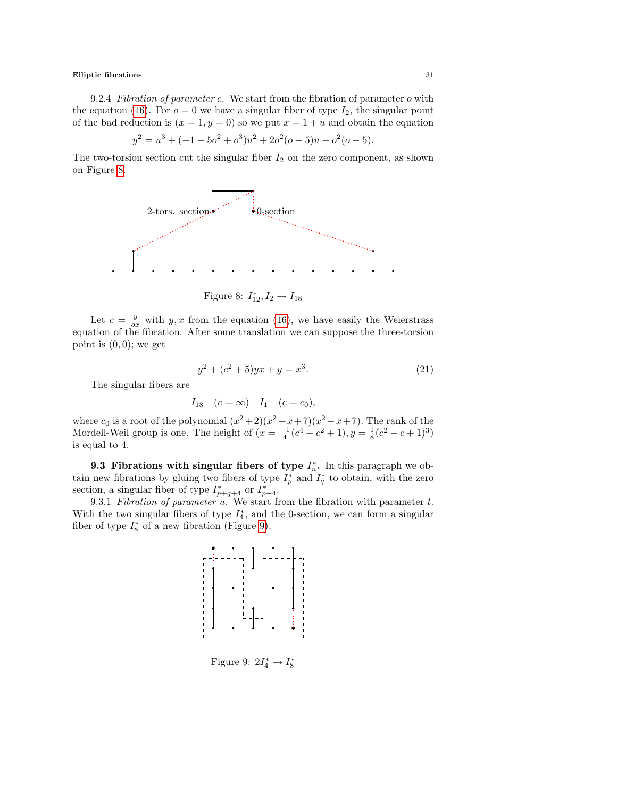9.2.4 Fibration of parameter c. We start from the fibration of parameter o with the equation [\(16\)](#page-27-1). For  $o = 0$  we have a singular fiber of type  $I_2$ , the singular point of the bad reduction is  $(x = 1, y = 0)$  so we put  $x = 1 + u$  and obtain the equation

$$
y^{2} = u^{3} + (-1 - 5a^{2} + a^{3})u^{2} + 2a^{2}(a - 5)u - a^{2}(a - 5).
$$

The two-torsion section cut the singular fiber  $I_2$  on the zero component, as shown on Figure [8.](#page-30-0)



<span id="page-30-0"></span>Figure 8:  $I_{12}^*, I_2 \to I_{18}$ 

Let  $c = \frac{y}{cx}$  with y, x from the equation [\(16\)](#page-27-1), we have easily the Weierstrass equation of the fibration. After some translation we can suppose the three-torsion point is  $(0, 0)$ ; we get

<span id="page-30-2"></span>
$$
y^2 + (c^2 + 5)yx + y = x^3.
$$
 (21)

The singular fibers are

$$
I_{18}
$$
  $(c = \infty)$   $I_1$   $(c = c_0)$ ,

where  $c_0$  is a root of the polynomial  $(x^2+2)(x^2+x+7)(x^2-x+7)$ . The rank of the Mordell-Weil group is one. The height of  $(x = \frac{-1}{4}(c^4 + c^2 + 1), y = \frac{1}{8}(c^2 - c + 1)^3)$ is equal to 4.

9.3 Fibrations with singular fibers of type  $I_n^*$ . In this paragraph we obtain new fibrations by gluing two fibers of type  $I_p^*$  and  $I_q^*$  to obtain, with the zero section, a singular fiber of type  $I_{p+q+4}^*$  or  $I_{p+4}^*$ .

9.3.1 Fibration of parameter  $u$ . We start from the fibration with parameter  $t$ . With the two singular fibers of type  $I_4^*$ , and the 0-section, we can form a singular fiber of type  $I_8^*$  of a new fibration (Figure [9\)](#page-30-1).



<span id="page-30-1"></span>Figure 9:  $2I_4^* \rightarrow I_8^*$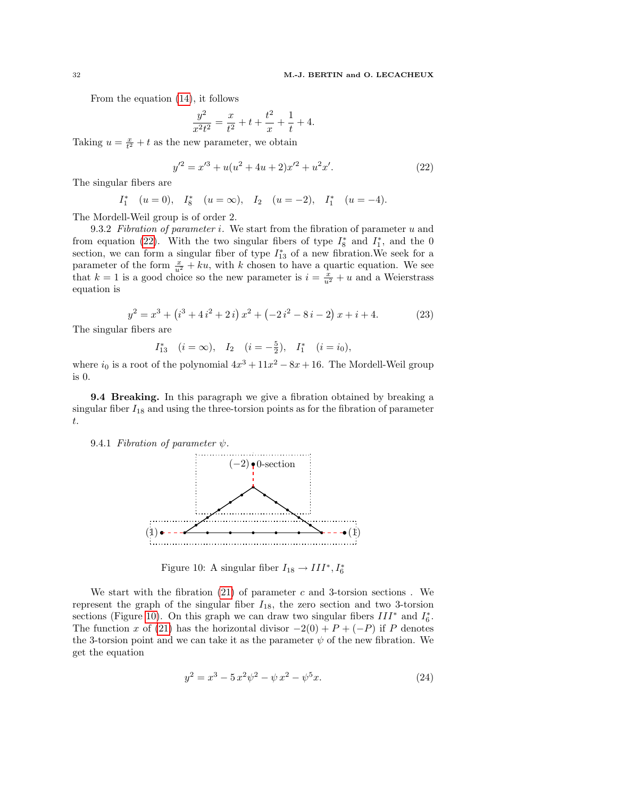From the equation [\(14\)](#page-27-0), it follows

$$
\frac{y^2}{x^2t^2} = \frac{x}{t^2} + t + \frac{t^2}{x} + \frac{1}{t} + 4.
$$

Taking  $u = \frac{x}{t^2} + t$  as the new parameter, we obtain

<span id="page-31-0"></span>
$$
y'^2 = x'^3 + u(u^2 + 4u + 2)x'^2 + u^2x'.
$$
 (22)

The singular fibers are

$$
I_1^*
$$
  $(u = 0)$ ,  $I_8^*$   $(u = \infty)$ ,  $I_2$   $(u = -2)$ ,  $I_1^*$   $(u = -4)$ .

The Mordell-Weil group is of order 2.

9.3.2 Fibration of parameter i. We start from the fibration of parameter  $u$  and from equation [\(22\)](#page-31-0). With the two singular fibers of type  $I_8^*$  and  $I_1^*$ , and the 0 section, we can form a singular fiber of type  $I_{13}^*$  of a new fibration. We seek for a parameter of the form  $\frac{x}{u^2} + ku$ , with k chosen to have a quartic equation. We see that  $k = 1$  is a good choice so the new parameter is  $i = \frac{x}{u^2} + u$  and a Weierstrass equation is

$$
y^{2} = x^{3} + (i^{3} + 4i^{2} + 2i)x^{2} + (-2i^{2} - 8i - 2)x + i + 4.
$$
 (23)

The singular fibers are

$$
I_{13}^*
$$
  $(i = \infty)$ ,  $I_2$   $(i = -\frac{5}{2})$ ,  $I_1^*$   $(i = i_0)$ ,

where  $i_0$  is a root of the polynomial  $4x^3 + 11x^2 - 8x + 16$ . The Mordell-Weil group is 0.

**9.4 Breaking.** In this paragraph we give a fibration obtained by breaking a singular fiber  $I_{18}$  and using the three-torsion points as for the fibration of parameter t.

9.4.1 Fibration of parameter  $\psi$ .



<span id="page-31-1"></span>Figure 10: A singular fiber  $I_{18} \rightarrow III^*, I_6^*$ 

We start with the fibration  $(21)$  of parameter c and 3-torsion sections. We represent the graph of the singular fiber  $I_{18}$ , the zero section and two 3-torsion sections (Figure [10\)](#page-31-1). On this graph we can draw two singular fibers  $III^*$  and  $I_6^*$ . The function x of [\(21\)](#page-30-2) has the horizontal divisor  $-2(0) + P + (-P)$  if P denotes the 3-torsion point and we can take it as the parameter  $\psi$  of the new fibration. We get the equation

$$
y^2 = x^3 - 5x^2y^2 - \psi x^2 - \psi^5 x.
$$
 (24)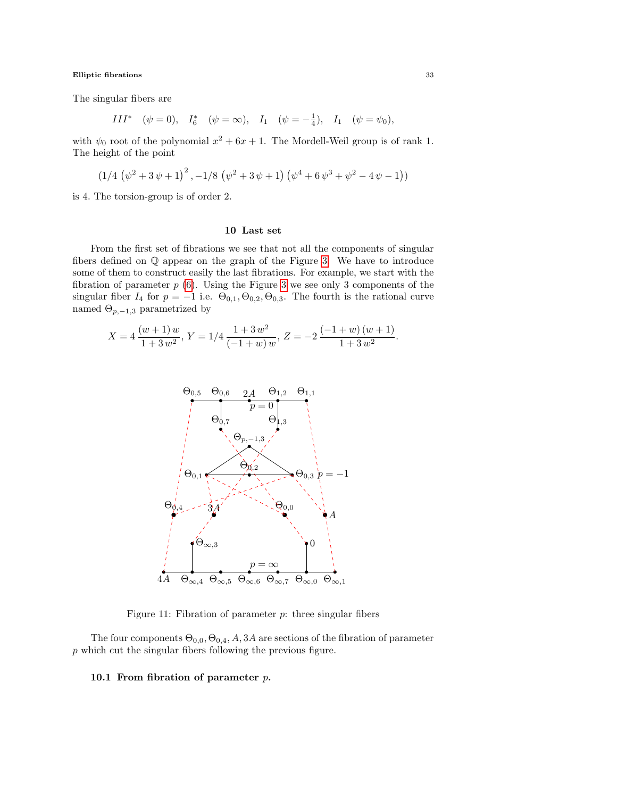The singular fibers are

$$
III^* \quad (\psi = 0), \quad I_6^* \quad (\psi = \infty), \quad I_1 \quad (\psi = -\frac{1}{4}), \quad I_1 \quad (\psi = \psi_0),
$$

with  $\psi_0$  root of the polynomial  $x^2 + 6x + 1$ . The Mordell-Weil group is of rank 1. The height of the point

$$
(1/4 (\psi^2 + 3 \psi + 1)^2, -1/8 (\psi^2 + 3 \psi + 1) (\psi^4 + 6 \psi^3 + \psi^2 - 4 \psi - 1))
$$

is 4. The torsion-group is of order 2.

# 10 Last set

From the first set of fibrations we see that not all the components of singular fibers defined on Q appear on the graph of the Figure [3.](#page-20-0) We have to introduce some of them to construct easily the last fibrations. For example, we start with the fibration of parameter  $p(6)$  $p(6)$ . Using the Figure [3](#page-20-0) we see only 3 components of the singular fiber  $I_4$  for  $p = -1$  i.e.  $\Theta_{0,1}, \Theta_{0,2}, \Theta_{0,3}$ . The fourth is the rational curve named  $\Theta_{p,-1,3}$  parametrized by

$$
X = 4 \frac{(w+1) w}{1+3 w^2}, Y = 1/4 \frac{1+3 w^2}{(-1+w) w}, Z = -2 \frac{(-1+w) (w+1)}{1+3 w^2}.
$$



<span id="page-32-0"></span>Figure 11: Fibration of parameter  $p$ : three singular fibers

The four components  $\Theta_{0,0}, \Theta_{0,4}, A, 3A$  are sections of the fibration of parameter p which cut the singular fibers following the previous figure.

# 10.1 From fibration of parameter  $p$ .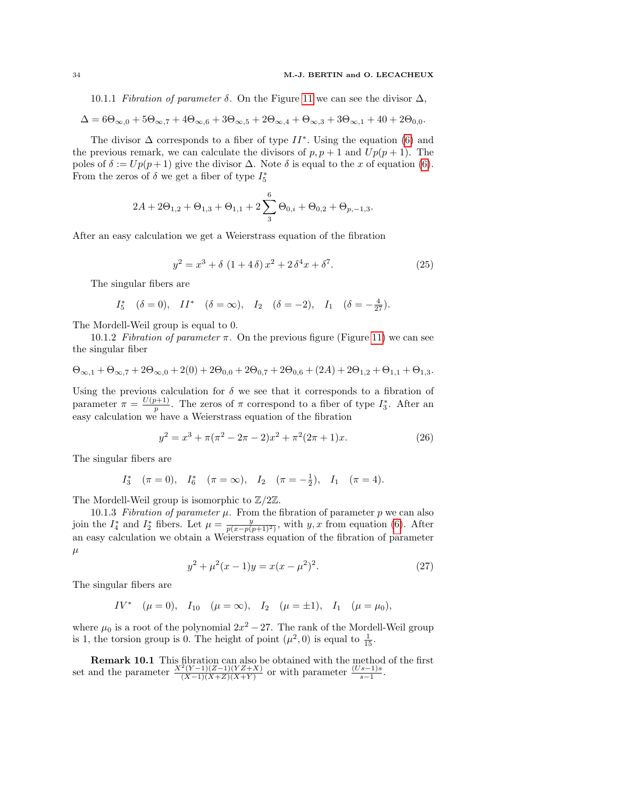10.1.1 Fibration of parameter  $\delta$ . On the Figure [11](#page-32-0) we can see the divisor  $\Delta$ ,

$$
\Delta = 6\Theta_{\infty,0} + 5\Theta_{\infty,7} + 4\Theta_{\infty,6} + 3\Theta_{\infty,5} + 2\Theta_{\infty,4} + \Theta_{\infty,3} + 3\Theta_{\infty,1} + 40 + 2\Theta_{0,0}.
$$

The divisor  $\Delta$  corresponds to a fiber of type  $II^*$ . Using the equation [\(6\)](#page-23-0) and the previous remark, we can calculate the divisors of  $p, p + 1$  and  $Up(p + 1)$ . The poles of  $\delta := Up(p+1)$  give the divisor  $\Delta$ . Note  $\delta$  is equal to the x of equation [\(6\)](#page-23-0). From the zeros of  $\delta$  we get a fiber of type  $I_5^*$ 

$$
2A + 2\Theta_{1,2} + \Theta_{1,3} + \Theta_{1,1} + 2\sum_{3}^{6} \Theta_{0,i} + \Theta_{0,2} + \Theta_{p,-1,3}.
$$

After an easy calculation we get a Weierstrass equation of the fibration

<span id="page-33-0"></span>
$$
y^2 = x^3 + \delta (1 + 4\delta)x^2 + 2\delta^4 x + \delta^7. \tag{25}
$$

The singular fibers are

$$
I_5^*
$$
  $(\delta = 0)$ ,  $II^*$   $(\delta = \infty)$ ,  $I_2$   $(\delta = -2)$ ,  $I_1$   $(\delta = -\frac{4}{27})$ .

The Mordell-Weil group is equal to 0.

10.1.2 Fibration of parameter  $\pi$ . On the previous figure (Figure [11\)](#page-32-0) we can see the singular fiber

$$
\Theta_{\infty,1} + \Theta_{\infty,7} + 2\Theta_{\infty,0} + 2(0) + 2\Theta_{0,0} + 2\Theta_{0,7} + 2\Theta_{0,6} + (2A) + 2\Theta_{1,2} + \Theta_{1,1} + \Theta_{1,3}.
$$

Using the previous calculation for  $\delta$  we see that it corresponds to a fibration of parameter  $\pi = \frac{U(p+1)}{n}$  $\frac{p+1}{p}$ . The zeros of  $\pi$  correspond to a fiber of type  $I_3^*$ . After an easy calculation we have a Weierstrass equation of the fibration

$$
y^{2} = x^{3} + \pi(\pi^{2} - 2\pi - 2)x^{2} + \pi^{2}(2\pi + 1)x.
$$
 (26)

The singular fibers are

$$
I_3^*
$$
  $(\pi = 0)$ ,  $I_6^*$   $(\pi = \infty)$ ,  $I_2$   $(\pi = -\frac{1}{2})$ ,  $I_1$   $(\pi = 4)$ .

The Mordell-Weil group is isomorphic to  $\mathbb{Z}/2\mathbb{Z}$ .

10.1.3 Fibration of parameter  $\mu$ . From the fibration of parameter p we can also join the  $I_4^*$  and  $I_2^*$  fibers. Let  $\mu = \frac{y}{p(x-p(p+1)^2)}$ , with  $y, x$  from equation [\(6\)](#page-23-0). After an easy calculation we obtain a Weierstrass equation of the fibration of parameter  $\mu$ 

$$
y^{2} + \mu^{2}(x - 1)y = x(x - \mu^{2})^{2}.
$$
 (27)

The singular fibers are

$$
IV^*
$$
  $(\mu = 0)$ ,  $I_{10}$   $(\mu = \infty)$ ,  $I_2$   $(\mu = \pm 1)$ ,  $I_1$   $(\mu = \mu_0)$ ,

where  $\mu_0$  is a root of the polynomial  $2x^2 - 27$ . The rank of the Mordell-Weil group is 1, the torsion group is 0. The height of point  $(\mu^2, 0)$  is equal to  $\frac{1}{15}$ .

**Remark 10.1** This fibration can also be obtained with the method of the first set and the parameter  $\frac{X^2(Y-1)(Z-1)(YZ+X)}{(X-1)(X+Z)(X+Y)}$  $\frac{f'(Y-1)(Z-1)(YZ+X)}{(X-1)(X+Z)(X+Y)}$  or with parameter  $\frac{(Us-1)s}{s-1}$ .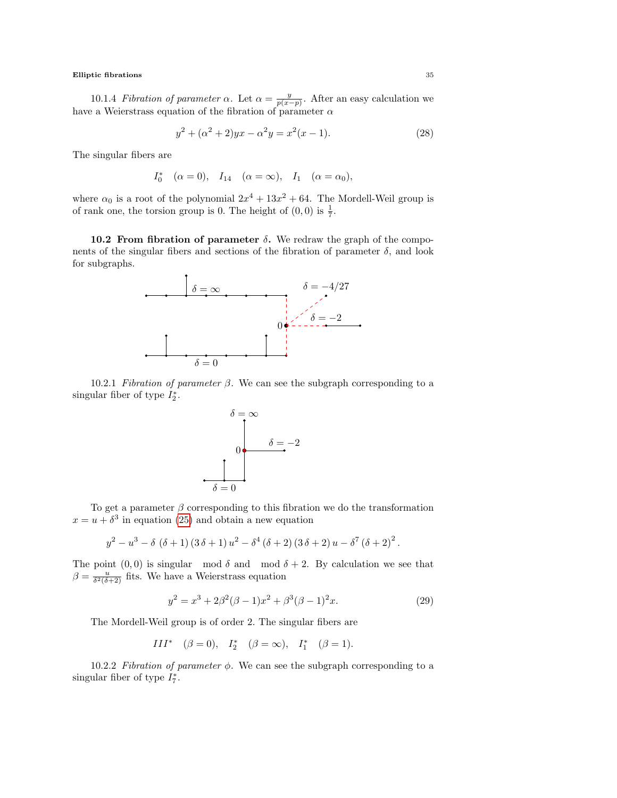10.1.4 *Fibration of parameter*  $\alpha$ . Let  $\alpha = \frac{y}{p(x-p)}$ . After an easy calculation we have a Weierstrass equation of the fibration of parameter  $\alpha$ 

$$
y^{2} + (\alpha^{2} + 2)yx - \alpha^{2}y = x^{2}(x - 1).
$$
 (28)

The singular fibers are

$$
I_0^*
$$
 ( $\alpha = 0$ ),  $I_{14}$  ( $\alpha = \infty$ ),  $I_1$  ( $\alpha = \alpha_0$ ),

where  $\alpha_0$  is a root of the polynomial  $2x^4 + 13x^2 + 64$ . The Mordell-Weil group is of rank one, the torsion group is 0. The height of  $(0,0)$  is  $\frac{1}{7}$ .

10.2 From fibration of parameter  $\delta$ . We redraw the graph of the components of the singular fibers and sections of the fibration of parameter  $\delta$ , and look for subgraphs.



10.2.1 Fibration of parameter  $\beta$ . We can see the subgraph corresponding to a singular fiber of type  $I_2^*$ .



To get a parameter  $\beta$  corresponding to this fibration we do the transformation  $x = u + \delta^3$  in equation [\(25\)](#page-33-0) and obtain a new equation

$$
y^2 - u^3 - \delta (\delta + 1) (3 \delta + 1) u^2 - \delta^4 (\delta + 2) (3 \delta + 2) u - \delta^7 (\delta + 2)^2.
$$

The point  $(0, 0)$  is singular mod  $\delta$  and mod  $\delta + 2$ . By calculation we see that  $\beta = \frac{u}{\delta^2(\delta+2)}$  fits. We have a Weierstrass equation

$$
y^{2} = x^{3} + 2\beta^{2}(\beta - 1)x^{2} + \beta^{3}(\beta - 1)^{2}x.
$$
 (29)

The Mordell-Weil group is of order 2. The singular fibers are

$$
III^* \quad (\beta = 0), \quad I_2^* \quad (\beta = \infty), \quad I_1^* \quad (\beta = 1).
$$

10.2.2 Fibration of parameter  $\phi$ . We can see the subgraph corresponding to a singular fiber of type  $I_7^*$ .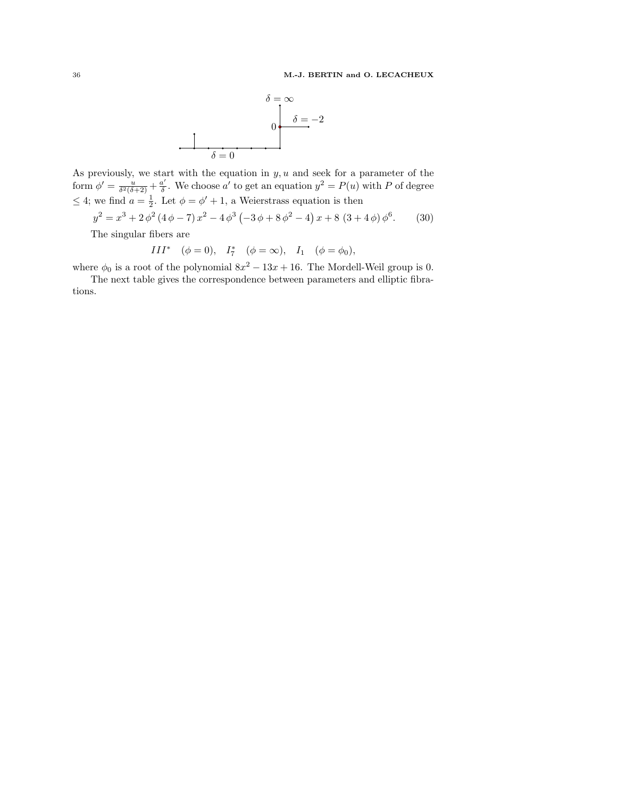

As previously, we start with the equation in  $y, u$  and seek for a parameter of the form  $\phi' = \frac{u}{\delta^2(\delta+2)} + \frac{a'}{\delta}$  $\underline{a}'$ . We choose  $a'$  to get an equation  $y^2 = P(u)$  with P of degree  $\leq 4$ ; we find  $a = \frac{1}{2}$ . Let  $\phi = \phi' + 1$ , a Weierstrass equation is then

$$
y^{2} = x^{3} + 2\phi^{2} (4\phi - 7) x^{2} - 4\phi^{3} (-3\phi + 8\phi^{2} - 4) x + 8 (3 + 4\phi) \phi^{6}.
$$
 (30)

The singular fibers are

$$
III^* \quad (\phi = 0), \quad I_7^* \quad (\phi = \infty), \quad I_1 \quad (\phi = \phi_0),
$$

where  $\phi_0$  is a root of the polynomial  $8x^2 - 13x + 16$ . The Mordell-Weil group is 0.

The next table gives the correspondence between parameters and elliptic fibrations.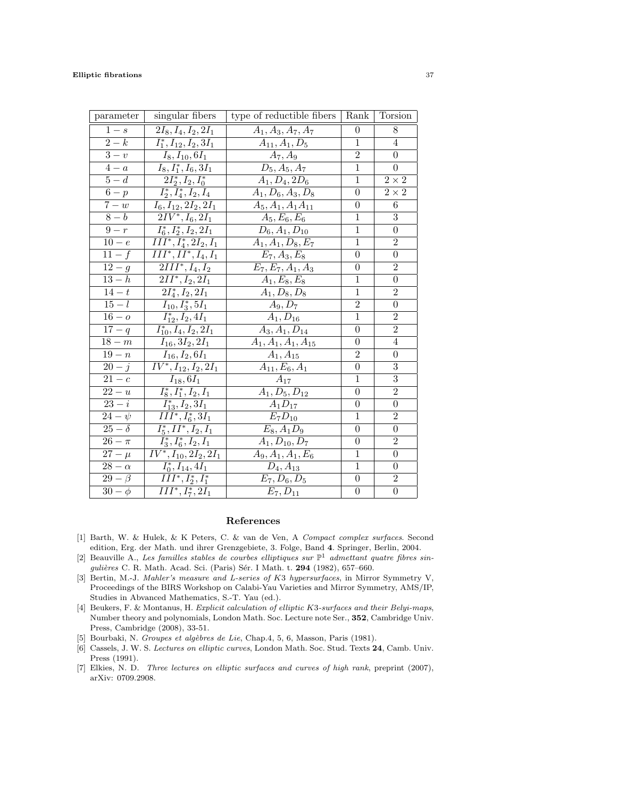| parameter              | singular fibers                      | type of reductible fibers       | Rank           | Torsion        |
|------------------------|--------------------------------------|---------------------------------|----------------|----------------|
| $1-s$                  | $2I_8, I_4, I_2, 2I_1$               | $A_1, A_3, A_7, A_7$            | $\theta$       | 8              |
| $\overline{2-k}$       | $I_1^*, I_{12}, I_2, 3I_1$           | $A_{11}, A_1, D_5$              | $\mathbf{1}$   | 4              |
| $\overline{3-v}$       | $I_8, I_{10}, 6I_1$                  | $A_7, A_9$                      | $\overline{2}$ | $\theta$       |
| $4-a$                  | $\overline{I_8}, I_1^*, I_6, 3I_1$   | $\overline{D}_5, A_5, A_7$      | 1              | $\Omega$       |
| $\overline{5-d}$       | $\overline{2}I_2^*,I_2,I_0^*$        | $A_1, D_4, 2D_6$                | $\mathbf{1}$   | $2\times 2$    |
| $6-p$                  | $I_2^*, I_4^*, I_2, I_4$             | $A_1, D_6, A_3, D_8$            | $\theta$       | $2\times 2$    |
| $7-w$                  | $\overline{I_6,I_{12}},2I_2,2I_1$    | $A_5, A_1, A_1A_{11}$           | $\theta$       | 6              |
| $\overline{8-b}$       | $2IV^*, I_6, 2I_1$                   | $A_5, E_6, E_6$                 | 1              | 3              |
| $9-r$                  | $I_6^*, I_2^*, I_2, 2I_1$            | $\overline{D}_6, A_1, D_{10}$   | 1              | $\theta$       |
| $\overline{10-e}$      | $\overline{III^*, I_4^*, 2I_2, I_1}$ | $\overline{A_1}, A_1, D_8, E_7$ | 1              | $\overline{2}$ |
| $11-f$                 | $\overline{II}I^*, II^*, I_4, I_1$   | $E_7, A_3, E_8$                 | $\theta$       | $\overline{0}$ |
| $12 - g$               | $2III^*, I_4, I_2$                   | $E_7, E_7, A_1, A_3$            | $\theta$       | $\overline{2}$ |
| $13-h$                 | $2II^*, I_2, 2I_1$                   | $A_1, E_8, E_8$                 | 1              | $\overline{0}$ |
| $14-t$                 | $2I_4^*, I_2, 2I_1$                  | $A_1, D_8, D_8$                 | 1              | $\overline{2}$ |
| $\overline{15-l}$      | $I_{10}, I_3^*, 5I_1$                | $A_9, D_7$                      | $\overline{2}$ | $\theta$       |
| $16 - o$               | $I_{12}^*, I_2, 4I_1$                | $A_1, D_{16}$                   | $\mathbf{1}$   | $\overline{2}$ |
| $17 - q$               | $I_{10}^*, I_4, I_2, 2I_1$           | $A_3, A_1, D_{14}$              | $\theta$       | $\overline{2}$ |
| $18-m$                 | $\overline{I_{16}},3I_{2},2I_{1}$    | $A_1, A_1, A_1, A_{15}$         | $\theta$       | $\overline{4}$ |
| $19 - n$               | $I_{16}, I_2, 6I_1$                  | $A_1, A_{15}$                   | $\overline{2}$ | $\theta$       |
| $20 - i$               | $\overline{IV^*}, I_{12}, I_2, 2I_1$ | $A_{11}, E_6, A_1$              | $\theta$       | $\overline{3}$ |
| $\overline{21-c}$      | $I_{18}, 6I_1$                       | $A_{17}$                        | 1              | $\overline{3}$ |
| $22-u$                 | $\overline{I_8^*}, I_1^*, I_2, I_1$  | $A_1, D_5, D_{12}$              | $\theta$       | $\overline{2}$ |
| $\overline{23-i}$      | $I_{13}^*, I_2, 3I_1$                | $A_1D_{17}$                     | $\overline{0}$ | $\overline{0}$ |
| $24-\psi$              | $III^*, I_6^*, 3I_1$                 | $E_7D_{10}$                     | 1              | $\overline{2}$ |
| $25-\delta$            | $I_5^*, II^*, I_2, I_1$              | $E_8, A_1D_9$                   | $\theta$       | $\theta$       |
| $26-\pi$               | $I_3^*, I_6^*, I_2, I_1$             | $A_1, D_{10}, D_7$              | $\theta$       | $\overline{2}$ |
| $27 - \mu$             | $IV^*, I_{10}, 2I_2, 2I_1$           | $\overline{A}_9, A_1, A_1, E_6$ | $\mathbf 1$    | $\overline{0}$ |
| $28 - \alpha$          | $I_0^*, I_{14}, 4I_1$                | $D_4, A_{13}$                   | 1              | $\overline{0}$ |
| $29 - \beta$           | $III^*, I_2^*, I_1^*$                | $E_7, D_6, D_5$                 | $\overline{0}$ | $\overline{2}$ |
| $\overline{30} - \phi$ | $\overline{III^*,I_7^*,2I_1}$        | $E_7, D_{11}$                   | $\theta$       | $\theta$       |

# References

- <span id="page-36-3"></span>[1] Barth, W. & Hulek, & K Peters, C. & van de Ven, A Compact complex surfaces. Second edition, Erg. der Math. und ihrer Grenzgebiete, 3. Folge, Band 4. Springer, Berlin, 2004.
- <span id="page-36-5"></span>[2] Beauville A., Les familles stables de courbes elliptiques sur  $\mathbb{P}^1$  admettant quatre fibres singulières C. R. Math. Acad. Sci. (Paris) Sér. I Math. t. 294 (1982), 657–660.
- <span id="page-36-0"></span>[3] Bertin, M.-J. Mahler's measure and L-series of K3 hypersurfaces, in Mirror Symmetry V, Proceedings of the BIRS Workshop on Calabi-Yau Varieties and Mirror Symmetry, AMS/IP, Studies in Abvanced Mathematics, S.-T. Yau (ed.).
- <span id="page-36-1"></span>[4] Beukers, F. & Montanus, H. Explicit calculation of elliptic K3-surfaces and their Belyi-maps, Number theory and polynomials, London Math. Soc. Lecture note Ser., 352, Cambridge Univ. Press, Cambridge (2008), 33-51.
- <span id="page-36-2"></span>[5] Bourbaki, N. Groupes et algèbres de Lie, Chap.4, 5, 6, Masson, Paris (1981).
- <span id="page-36-4"></span>[6] Cassels, J. W. S. Lectures on elliptic curves, London Math. Soc. Stud. Texts 24, Camb. Univ. Press (1991).
- <span id="page-36-6"></span>[7] Elkies, N. D. Three lectures on elliptic surfaces and curves of high rank, preprint (2007), arXiv: 0709.2908.